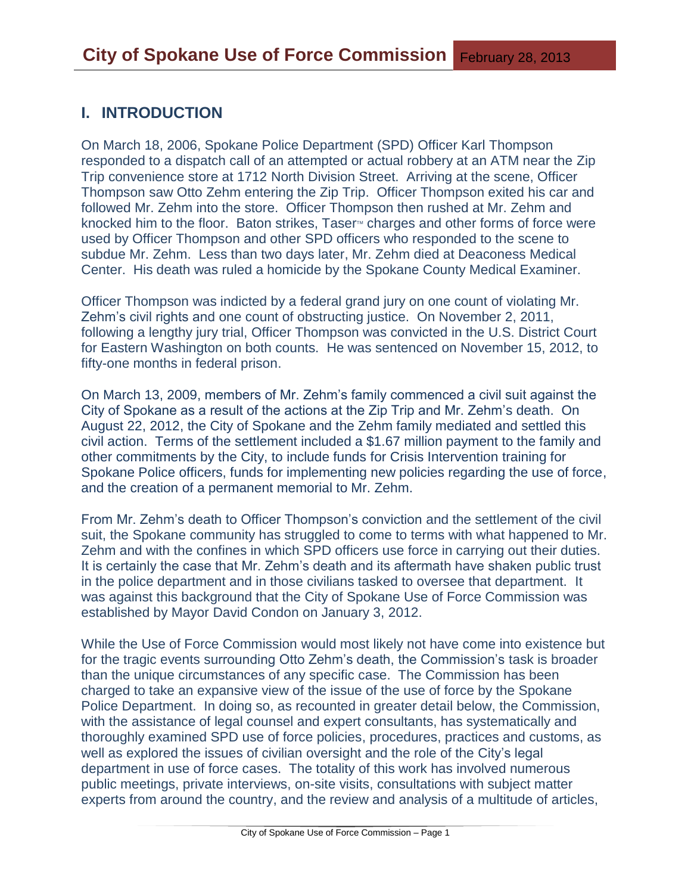# **I. INTRODUCTION**

On March 18, 2006, Spokane Police Department (SPD) Officer Karl Thompson responded to a dispatch call of an attempted or actual robbery at an ATM near the Zip Trip convenience store at 1712 North Division Street. Arriving at the scene, Officer Thompson saw Otto Zehm entering the Zip Trip. Officer Thompson exited his car and followed Mr. Zehm into the store. Officer Thompson then rushed at Mr. Zehm and knocked him to the floor. Baton strikes, Taser<sup>M</sup> charges and other forms of force were used by Officer Thompson and other SPD officers who responded to the scene to subdue Mr. Zehm. Less than two days later, Mr. Zehm died at Deaconess Medical Center. His death was ruled a homicide by the Spokane County Medical Examiner.

Officer Thompson was indicted by a federal grand jury on one count of violating Mr. Zehm's civil rights and one count of obstructing justice. On November 2, 2011, following a lengthy jury trial, Officer Thompson was convicted in the U.S. District Court for Eastern Washington on both counts. He was sentenced on November 15, 2012, to fifty-one months in federal prison.

On March 13, 2009, members of Mr. Zehm's family commenced a civil suit against the City of Spokane as a result of the actions at the Zip Trip and Mr. Zehm's death. On August 22, 2012, the City of Spokane and the Zehm family mediated and settled this civil action. Terms of the settlement included a \$1.67 million payment to the family and other commitments by the City, to include funds for Crisis Intervention training for Spokane Police officers, funds for implementing new policies regarding the use of force, and the creation of a permanent memorial to Mr. Zehm.

From Mr. Zehm's death to Officer Thompson's conviction and the settlement of the civil suit, the Spokane community has struggled to come to terms with what happened to Mr. Zehm and with the confines in which SPD officers use force in carrying out their duties. It is certainly the case that Mr. Zehm's death and its aftermath have shaken public trust in the police department and in those civilians tasked to oversee that department. It was against this background that the City of Spokane Use of Force Commission was established by Mayor David Condon on January 3, 2012.

While the Use of Force Commission would most likely not have come into existence but for the tragic events surrounding Otto Zehm's death, the Commission's task is broader than the unique circumstances of any specific case. The Commission has been charged to take an expansive view of the issue of the use of force by the Spokane Police Department. In doing so, as recounted in greater detail below, the Commission, with the assistance of legal counsel and expert consultants, has systematically and thoroughly examined SPD use of force policies, procedures, practices and customs, as well as explored the issues of civilian oversight and the role of the City's legal department in use of force cases. The totality of this work has involved numerous public meetings, private interviews, on-site visits, consultations with subject matter experts from around the country, and the review and analysis of a multitude of articles,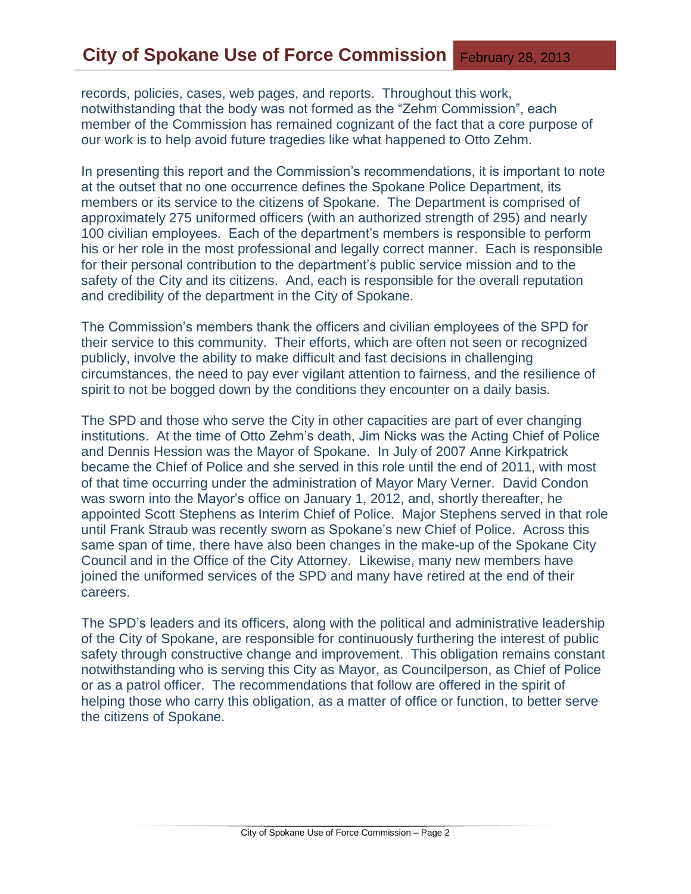records, policies, cases, web pages, and reports. Throughout this work, notwithstanding that the body was not formed as the "Zehm Commission", each member of the Commission has remained cognizant of the fact that a core purpose of our work is to help avoid future tragedies like what happened to Otto Zehm.

In presenting this report and the Commission's recommendations, it is important to note at the outset that no one occurrence defines the Spokane Police Department, its members or its service to the citizens of Spokane. The Department is comprised of approximately 275 uniformed officers (with an authorized strength of 295) and nearly 100 civilian employees. Each of the department's members is responsible to perform his or her role in the most professional and legally correct manner. Each is responsible for their personal contribution to the department's public service mission and to the safety of the City and its citizens. And, each is responsible for the overall reputation and credibility of the department in the City of Spokane.

The Commission's members thank the officers and civilian employees of the SPD for their service to this community. Their efforts, which are often not seen or recognized publicly, involve the ability to make difficult and fast decisions in challenging circumstances, the need to pay ever vigilant attention to fairness, and the resilience of spirit to not be bogged down by the conditions they encounter on a daily basis.

The SPD and those who serve the City in other capacities are part of ever changing institutions. At the time of Otto Zehm's death, Jim Nicks was the Acting Chief of Police and Dennis Hession was the Mayor of Spokane. In July of 2007 Anne Kirkpatrick became the Chief of Police and she served in this role until the end of 2011, with most of that time occurring under the administration of Mayor Mary Verner. David Condon was sworn into the Mayor's office on January 1, 2012, and, shortly thereafter, he appointed Scott Stephens as Interim Chief of Police. Major Stephens served in that role until Frank Straub was recently sworn as Spokane's new Chief of Police. Across this same span of time, there have also been changes in the make-up of the Spokane City Council and in the Office of the City Attorney. Likewise, many new members have joined the uniformed services of the SPD and many have retired at the end of their careers.

The SPD's leaders and its officers, along with the political and administrative leadership of the City of Spokane, are responsible for continuously furthering the interest of public safety through constructive change and improvement. This obligation remains constant notwithstanding who is serving this City as Mayor, as Councilperson, as Chief of Police or as a patrol officer. The recommendations that follow are offered in the spirit of helping those who carry this obligation, as a matter of office or function, to better serve the citizens of Spokane.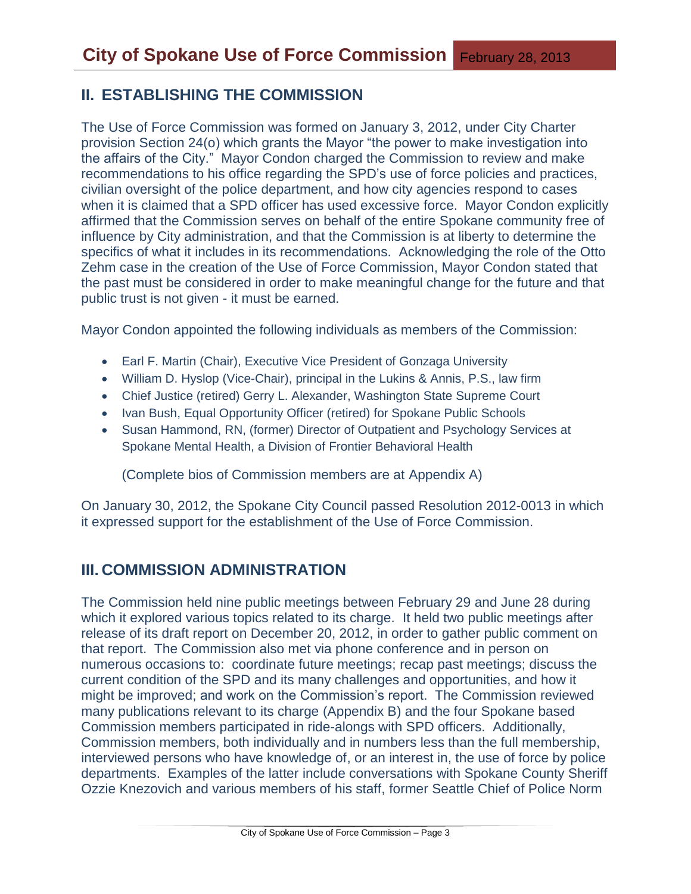# **II. ESTABLISHING THE COMMISSION**

The Use of Force Commission was formed on January 3, 2012, under City Charter provision Section 24(o) which grants the Mayor "the power to make investigation into the affairs of the City." Mayor Condon charged the Commission to review and make recommendations to his office regarding the SPD's use of force policies and practices, civilian oversight of the police department, and how city agencies respond to cases when it is claimed that a SPD officer has used excessive force. Mayor Condon explicitly affirmed that the Commission serves on behalf of the entire Spokane community free of influence by City administration, and that the Commission is at liberty to determine the specifics of what it includes in its recommendations. Acknowledging the role of the Otto Zehm case in the creation of the Use of Force Commission, Mayor Condon stated that the past must be considered in order to make meaningful change for the future and that public trust is not given - it must be earned.

Mayor Condon appointed the following individuals as members of the Commission:

- Earl F. Martin (Chair), Executive Vice President of Gonzaga University
- William D. Hyslop (Vice-Chair), principal in the Lukins & Annis, P.S., law firm
- Chief Justice (retired) Gerry L. Alexander, Washington State Supreme Court
- Ivan Bush, Equal Opportunity Officer (retired) for Spokane Public Schools
- Susan Hammond, RN, (former) Director of Outpatient and Psychology Services at Spokane Mental Health, a Division of Frontier Behavioral Health

(Complete bios of Commission members are at Appendix A)

On January 30, 2012, the Spokane City Council passed Resolution 2012-0013 in which it expressed support for the establishment of the Use of Force Commission.

# **III. COMMISSION ADMINISTRATION**

The Commission held nine public meetings between February 29 and June 28 during which it explored various topics related to its charge. It held two public meetings after release of its draft report on December 20, 2012, in order to gather public comment on that report. The Commission also met via phone conference and in person on numerous occasions to: coordinate future meetings; recap past meetings; discuss the current condition of the SPD and its many challenges and opportunities, and how it might be improved; and work on the Commission's report. The Commission reviewed many publications relevant to its charge (Appendix B) and the four Spokane based Commission members participated in ride-alongs with SPD officers. Additionally, Commission members, both individually and in numbers less than the full membership, interviewed persons who have knowledge of, or an interest in, the use of force by police departments. Examples of the latter include conversations with Spokane County Sheriff Ozzie Knezovich and various members of his staff, former Seattle Chief of Police Norm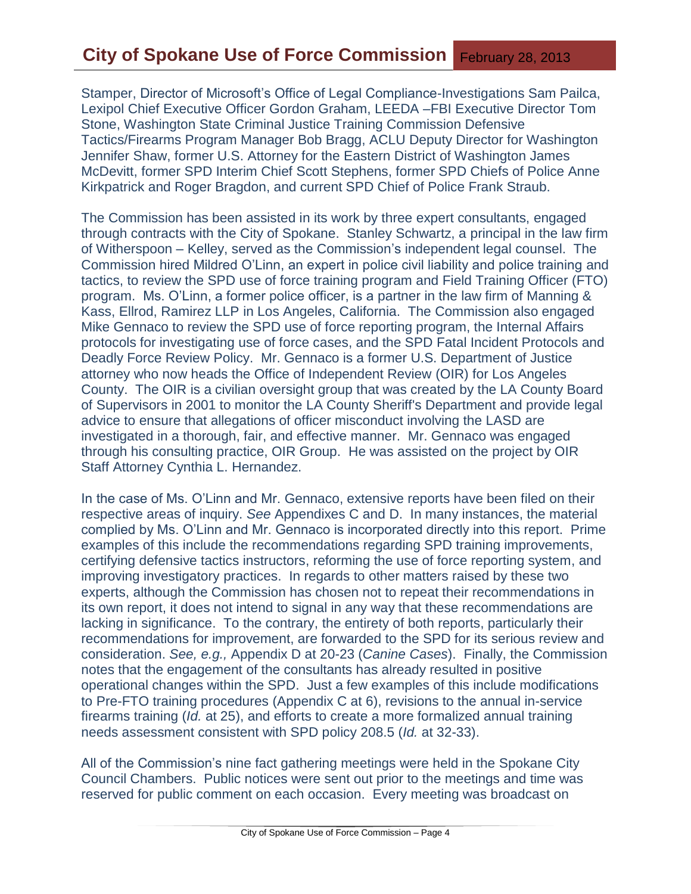Stamper, Director of Microsoft's Office of Legal Compliance-Investigations Sam Pailca, Lexipol Chief Executive Officer Gordon Graham, LEEDA –FBI Executive Director Tom Stone, Washington State Criminal Justice Training Commission Defensive Tactics/Firearms Program Manager Bob Bragg, ACLU Deputy Director for Washington Jennifer Shaw, former U.S. Attorney for the Eastern District of Washington James McDevitt, former SPD Interim Chief Scott Stephens, former SPD Chiefs of Police Anne Kirkpatrick and Roger Bragdon, and current SPD Chief of Police Frank Straub.

The Commission has been assisted in its work by three expert consultants, engaged through contracts with the City of Spokane. Stanley Schwartz, a principal in the law firm of Witherspoon – Kelley, served as the Commission's independent legal counsel. The Commission hired Mildred O'Linn, an expert in police civil liability and police training and tactics, to review the SPD use of force training program and Field Training Officer (FTO) program. Ms. O'Linn, a former police officer, is a partner in the law firm of Manning & Kass, Ellrod, Ramirez LLP in Los Angeles, California. The Commission also engaged Mike Gennaco to review the SPD use of force reporting program, the Internal Affairs protocols for investigating use of force cases, and the SPD Fatal Incident Protocols and Deadly Force Review Policy. Mr. Gennaco is a former U.S. Department of Justice attorney who now heads the Office of Independent Review (OIR) for Los Angeles County. The OIR is a civilian oversight group that was created by the LA County Board of Supervisors in 2001 to monitor the LA County Sheriff's Department and provide legal advice to ensure that allegations of officer misconduct involving the LASD are investigated in a thorough, fair, and effective manner. Mr. Gennaco was engaged through his consulting practice, OIR Group. He was assisted on the project by OIR Staff Attorney Cynthia L. Hernandez.

In the case of Ms. O'Linn and Mr. Gennaco, extensive reports have been filed on their respective areas of inquiry. *See* Appendixes C and D. In many instances, the material complied by Ms. O'Linn and Mr. Gennaco is incorporated directly into this report. Prime examples of this include the recommendations regarding SPD training improvements, certifying defensive tactics instructors, reforming the use of force reporting system, and improving investigatory practices. In regards to other matters raised by these two experts, although the Commission has chosen not to repeat their recommendations in its own report, it does not intend to signal in any way that these recommendations are lacking in significance. To the contrary, the entirety of both reports, particularly their recommendations for improvement, are forwarded to the SPD for its serious review and consideration. *See, e.g.,* Appendix D at 20-23 (*Canine Cases*). Finally, the Commission notes that the engagement of the consultants has already resulted in positive operational changes within the SPD. Just a few examples of this include modifications to Pre-FTO training procedures (Appendix C at 6), revisions to the annual in-service firearms training (*Id.* at 25), and efforts to create a more formalized annual training needs assessment consistent with SPD policy 208.5 (*Id.* at 32-33).

All of the Commission's nine fact gathering meetings were held in the Spokane City Council Chambers. Public notices were sent out prior to the meetings and time was reserved for public comment on each occasion. Every meeting was broadcast on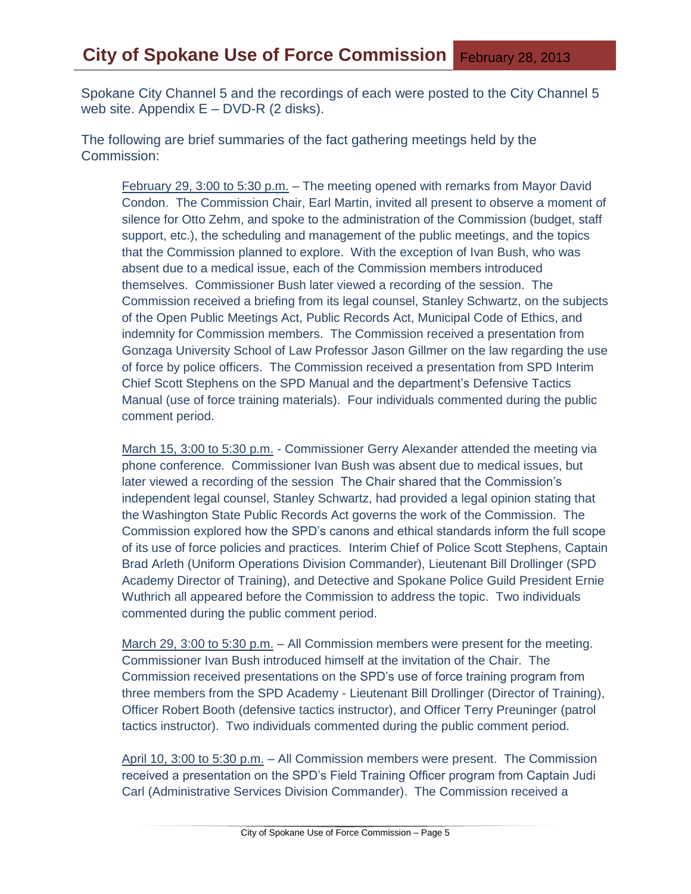Spokane City Channel 5 and the recordings of each were posted to the City Channel 5 web site. Appendix  $E - DVD-R$  (2 disks).

The following are brief summaries of the fact gathering meetings held by the Commission:

February 29, 3:00 to 5:30 p.m. – The meeting opened with remarks from Mayor David Condon. The Commission Chair, Earl Martin, invited all present to observe a moment of silence for Otto Zehm, and spoke to the administration of the Commission (budget, staff support, etc.), the scheduling and management of the public meetings, and the topics that the Commission planned to explore. With the exception of Ivan Bush, who was absent due to a medical issue, each of the Commission members introduced themselves. Commissioner Bush later viewed a recording of the session. The Commission received a briefing from its legal counsel, Stanley Schwartz, on the subjects of the Open Public Meetings Act, Public Records Act, Municipal Code of Ethics, and indemnity for Commission members. The Commission received a presentation from Gonzaga University School of Law Professor Jason Gillmer on the law regarding the use of force by police officers. The Commission received a presentation from SPD Interim Chief Scott Stephens on the SPD Manual and the department's Defensive Tactics Manual (use of force training materials). Four individuals commented during the public comment period.

March 15, 3:00 to 5:30 p.m. - Commissioner Gerry Alexander attended the meeting via phone conference. Commissioner Ivan Bush was absent due to medical issues, but later viewed a recording of the session The Chair shared that the Commission's independent legal counsel, Stanley Schwartz, had provided a legal opinion stating that the Washington State Public Records Act governs the work of the Commission. The Commission explored how the SPD's canons and ethical standards inform the full scope of its use of force policies and practices. Interim Chief of Police Scott Stephens, Captain Brad Arleth (Uniform Operations Division Commander), Lieutenant Bill Drollinger (SPD Academy Director of Training), and Detective and Spokane Police Guild President Ernie Wuthrich all appeared before the Commission to address the topic. Two individuals commented during the public comment period.

March 29, 3:00 to 5:30 p.m. – All Commission members were present for the meeting. Commissioner Ivan Bush introduced himself at the invitation of the Chair. The Commission received presentations on the SPD's use of force training program from three members from the SPD Academy - Lieutenant Bill Drollinger (Director of Training), Officer Robert Booth (defensive tactics instructor), and Officer Terry Preuninger (patrol tactics instructor). Two individuals commented during the public comment period.

April 10, 3:00 to 5:30 p.m. – All Commission members were present. The Commission received a presentation on the SPD's Field Training Officer program from Captain Judi Carl (Administrative Services Division Commander). The Commission received a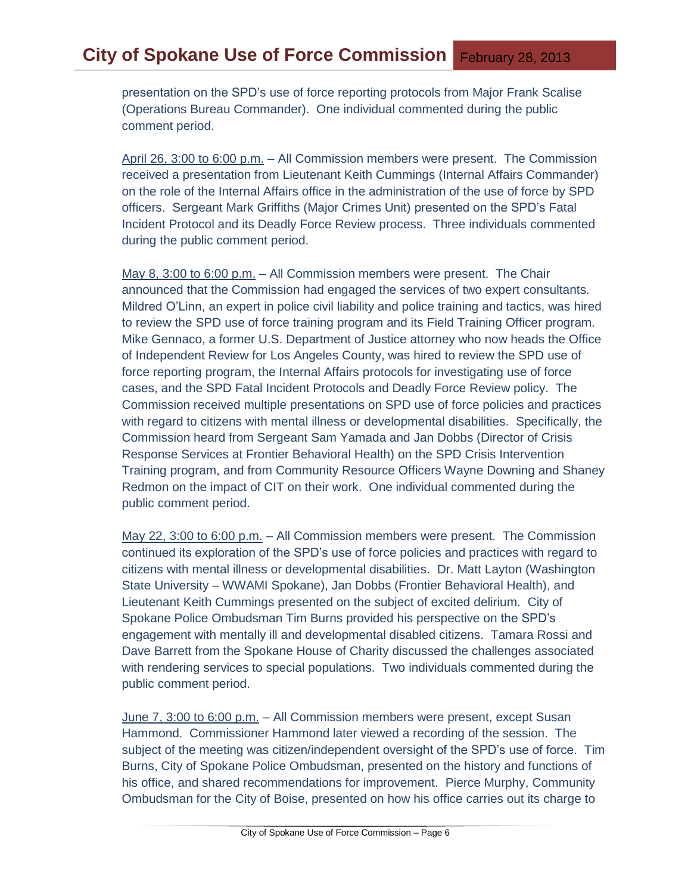presentation on the SPD's use of force reporting protocols from Major Frank Scalise (Operations Bureau Commander). One individual commented during the public comment period.

April 26, 3:00 to 6:00 p.m. – All Commission members were present. The Commission received a presentation from Lieutenant Keith Cummings (Internal Affairs Commander) on the role of the Internal Affairs office in the administration of the use of force by SPD officers. Sergeant Mark Griffiths (Major Crimes Unit) presented on the SPD's Fatal Incident Protocol and its Deadly Force Review process. Three individuals commented during the public comment period.

May 8, 3:00 to 6:00 p.m. – All Commission members were present. The Chair announced that the Commission had engaged the services of two expert consultants. Mildred O'Linn, an expert in police civil liability and police training and tactics, was hired to review the SPD use of force training program and its Field Training Officer program. Mike Gennaco, a former U.S. Department of Justice attorney who now heads the Office of Independent Review for Los Angeles County, was hired to review the SPD use of force reporting program, the Internal Affairs protocols for investigating use of force cases, and the SPD Fatal Incident Protocols and Deadly Force Review policy. The Commission received multiple presentations on SPD use of force policies and practices with regard to citizens with mental illness or developmental disabilities. Specifically, the Commission heard from Sergeant Sam Yamada and Jan Dobbs (Director of Crisis Response Services at Frontier Behavioral Health) on the SPD Crisis Intervention Training program, and from Community Resource Officers Wayne Downing and Shaney Redmon on the impact of CIT on their work. One individual commented during the public comment period.

May 22, 3:00 to 6:00 p.m. – All Commission members were present. The Commission continued its exploration of the SPD's use of force policies and practices with regard to citizens with mental illness or developmental disabilities. Dr. Matt Layton (Washington State University – WWAMI Spokane), Jan Dobbs (Frontier Behavioral Health), and Lieutenant Keith Cummings presented on the subject of excited delirium. City of Spokane Police Ombudsman Tim Burns provided his perspective on the SPD's engagement with mentally ill and developmental disabled citizens. Tamara Rossi and Dave Barrett from the Spokane House of Charity discussed the challenges associated with rendering services to special populations. Two individuals commented during the public comment period.

June 7, 3:00 to 6:00 p.m. – All Commission members were present, except Susan Hammond. Commissioner Hammond later viewed a recording of the session. The subject of the meeting was citizen/independent oversight of the SPD's use of force. Tim Burns, City of Spokane Police Ombudsman, presented on the history and functions of his office, and shared recommendations for improvement. Pierce Murphy, Community Ombudsman for the City of Boise, presented on how his office carries out its charge to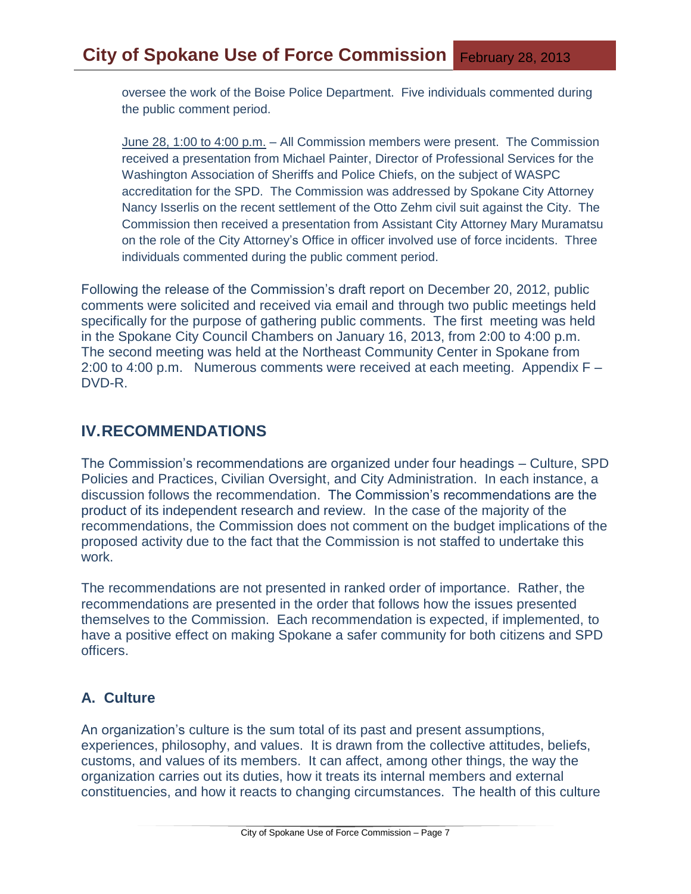oversee the work of the Boise Police Department. Five individuals commented during the public comment period.

June 28, 1:00 to 4:00 p.m. – All Commission members were present. The Commission received a presentation from Michael Painter, Director of Professional Services for the Washington Association of Sheriffs and Police Chiefs, on the subject of WASPC accreditation for the SPD. The Commission was addressed by Spokane City Attorney Nancy Isserlis on the recent settlement of the Otto Zehm civil suit against the City. The Commission then received a presentation from Assistant City Attorney Mary Muramatsu on the role of the City Attorney's Office in officer involved use of force incidents. Three individuals commented during the public comment period.

Following the release of the Commission's draft report on December 20, 2012, public comments were solicited and received via email and through two public meetings held specifically for the purpose of gathering public comments. The first meeting was held in the Spokane City Council Chambers on January 16, 2013, from 2:00 to 4:00 p.m. The second meeting was held at the Northeast Community Center in Spokane from 2:00 to 4:00 p.m. Numerous comments were received at each meeting. Appendix F – DVD-R.

## **IV.RECOMMENDATIONS**

The Commission's recommendations are organized under four headings – Culture, SPD Policies and Practices, Civilian Oversight, and City Administration. In each instance, a discussion follows the recommendation. The Commission's recommendations are the product of its independent research and review. In the case of the majority of the recommendations, the Commission does not comment on the budget implications of the proposed activity due to the fact that the Commission is not staffed to undertake this work.

The recommendations are not presented in ranked order of importance. Rather, the recommendations are presented in the order that follows how the issues presented themselves to the Commission. Each recommendation is expected, if implemented, to have a positive effect on making Spokane a safer community for both citizens and SPD officers.

## **A. Culture**

An organization's culture is the sum total of its past and present assumptions, experiences, philosophy, and values. It is drawn from the collective attitudes, beliefs, customs, and values of its members. It can affect, among other things, the way the organization carries out its duties, how it treats its internal members and external constituencies, and how it reacts to changing circumstances. The health of this culture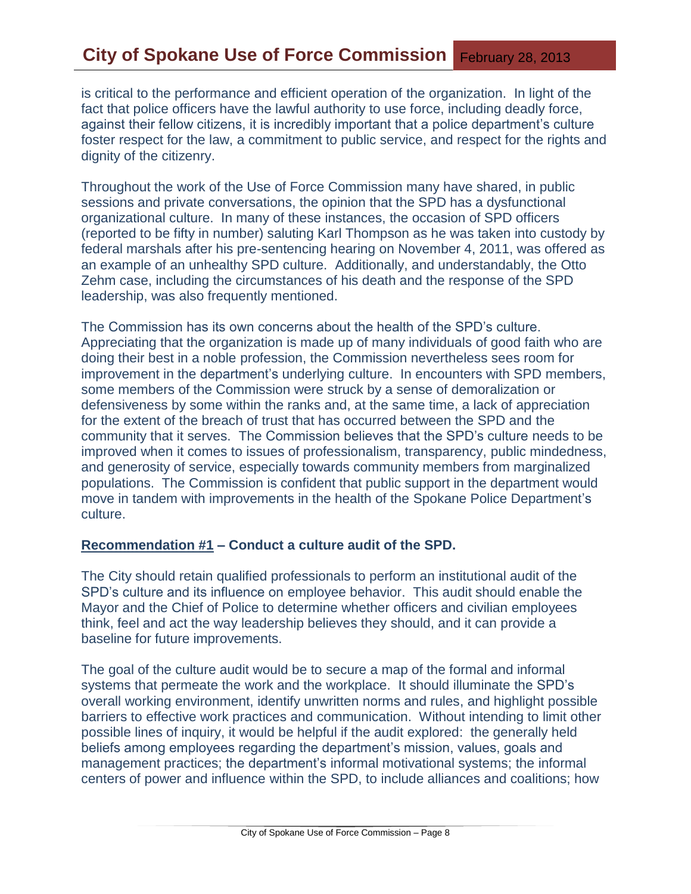# **City of Spokane Use of Force Commission** February 28, 2013

is critical to the performance and efficient operation of the organization. In light of the fact that police officers have the lawful authority to use force, including deadly force, against their fellow citizens, it is incredibly important that a police department's culture foster respect for the law, a commitment to public service, and respect for the rights and dignity of the citizenry.

Throughout the work of the Use of Force Commission many have shared, in public sessions and private conversations, the opinion that the SPD has a dysfunctional organizational culture. In many of these instances, the occasion of SPD officers (reported to be fifty in number) saluting Karl Thompson as he was taken into custody by federal marshals after his pre-sentencing hearing on November 4, 2011, was offered as an example of an unhealthy SPD culture. Additionally, and understandably, the Otto Zehm case, including the circumstances of his death and the response of the SPD leadership, was also frequently mentioned.

The Commission has its own concerns about the health of the SPD's culture. Appreciating that the organization is made up of many individuals of good faith who are doing their best in a noble profession, the Commission nevertheless sees room for improvement in the department's underlying culture. In encounters with SPD members, some members of the Commission were struck by a sense of demoralization or defensiveness by some within the ranks and, at the same time, a lack of appreciation for the extent of the breach of trust that has occurred between the SPD and the community that it serves. The Commission believes that the SPD's culture needs to be improved when it comes to issues of professionalism, transparency, public mindedness, and generosity of service, especially towards community members from marginalized populations. The Commission is confident that public support in the department would move in tandem with improvements in the health of the Spokane Police Department's culture.

#### **Recommendation #1 – Conduct a culture audit of the SPD.**

The City should retain qualified professionals to perform an institutional audit of the SPD's culture and its influence on employee behavior. This audit should enable the Mayor and the Chief of Police to determine whether officers and civilian employees think, feel and act the way leadership believes they should, and it can provide a baseline for future improvements.

The goal of the culture audit would be to secure a map of the formal and informal systems that permeate the work and the workplace. It should illuminate the SPD's overall working environment, identify unwritten norms and rules, and highlight possible barriers to effective work practices and communication. Without intending to limit other possible lines of inquiry, it would be helpful if the audit explored: the generally held beliefs among employees regarding the department's mission, values, goals and management practices; the department's informal motivational systems; the informal centers of power and influence within the SPD, to include alliances and coalitions; how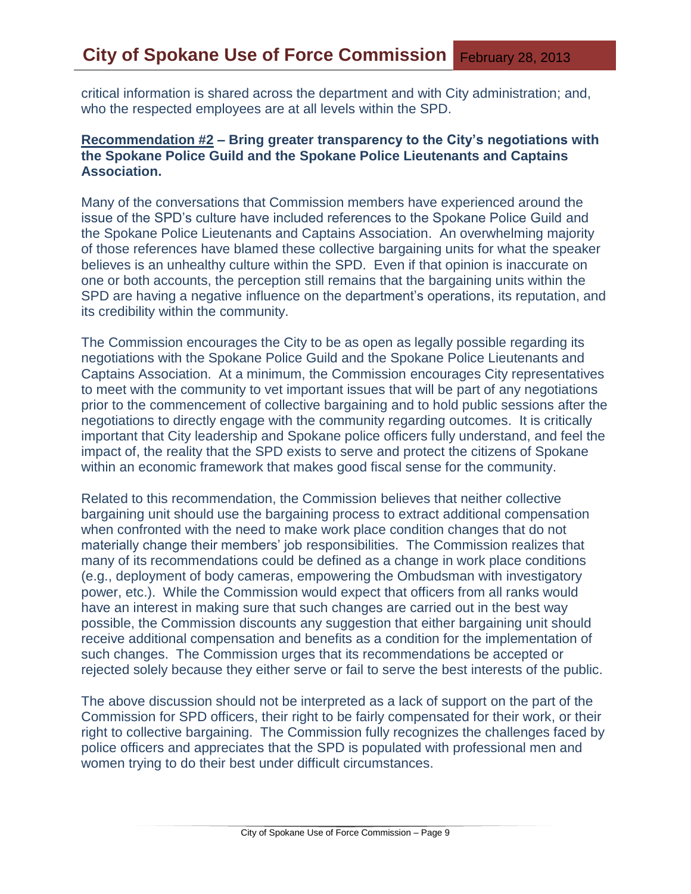critical information is shared across the department and with City administration; and, who the respected employees are at all levels within the SPD.

## **Recommendation #2 – Bring greater transparency to the City's negotiations with the Spokane Police Guild and the Spokane Police Lieutenants and Captains Association.**

Many of the conversations that Commission members have experienced around the issue of the SPD's culture have included references to the Spokane Police Guild and the Spokane Police Lieutenants and Captains Association. An overwhelming majority of those references have blamed these collective bargaining units for what the speaker believes is an unhealthy culture within the SPD. Even if that opinion is inaccurate on one or both accounts, the perception still remains that the bargaining units within the SPD are having a negative influence on the department's operations, its reputation, and its credibility within the community.

The Commission encourages the City to be as open as legally possible regarding its negotiations with the Spokane Police Guild and the Spokane Police Lieutenants and Captains Association. At a minimum, the Commission encourages City representatives to meet with the community to vet important issues that will be part of any negotiations prior to the commencement of collective bargaining and to hold public sessions after the negotiations to directly engage with the community regarding outcomes. It is critically important that City leadership and Spokane police officers fully understand, and feel the impact of, the reality that the SPD exists to serve and protect the citizens of Spokane within an economic framework that makes good fiscal sense for the community.

Related to this recommendation, the Commission believes that neither collective bargaining unit should use the bargaining process to extract additional compensation when confronted with the need to make work place condition changes that do not materially change their members' job responsibilities. The Commission realizes that many of its recommendations could be defined as a change in work place conditions (e.g., deployment of body cameras, empowering the Ombudsman with investigatory power, etc.). While the Commission would expect that officers from all ranks would have an interest in making sure that such changes are carried out in the best way possible, the Commission discounts any suggestion that either bargaining unit should receive additional compensation and benefits as a condition for the implementation of such changes. The Commission urges that its recommendations be accepted or rejected solely because they either serve or fail to serve the best interests of the public.

The above discussion should not be interpreted as a lack of support on the part of the Commission for SPD officers, their right to be fairly compensated for their work, or their right to collective bargaining. The Commission fully recognizes the challenges faced by police officers and appreciates that the SPD is populated with professional men and women trying to do their best under difficult circumstances.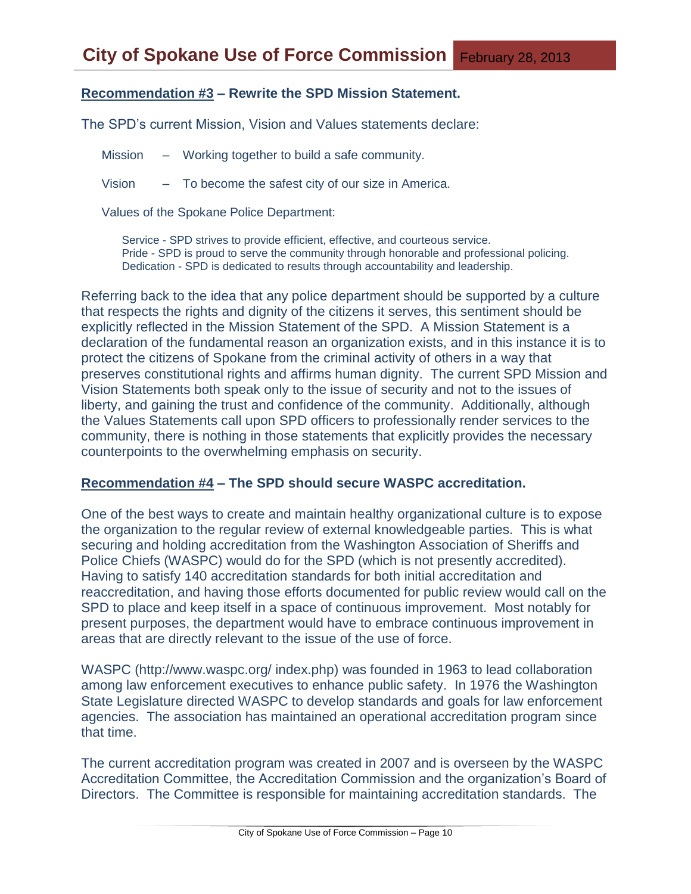## **Recommendation #3 – Rewrite the SPD Mission Statement.**

The SPD's current Mission, Vision and Values statements declare:

Mission – Working together to build a safe community.

Vision – To become the safest city of our size in America.

Values of the Spokane Police Department:

Service - SPD strives to provide efficient, effective, and courteous service. Pride - SPD is proud to serve the community through honorable and professional policing. Dedication - SPD is dedicated to results through accountability and leadership.

Referring back to the idea that any police department should be supported by a culture that respects the rights and dignity of the citizens it serves, this sentiment should be explicitly reflected in the Mission Statement of the SPD. A Mission Statement is a declaration of the fundamental reason an organization exists, and in this instance it is to protect the citizens of Spokane from the criminal activity of others in a way that preserves constitutional rights and affirms human dignity. The current SPD Mission and Vision Statements both speak only to the issue of security and not to the issues of liberty, and gaining the trust and confidence of the community. Additionally, although the Values Statements call upon SPD officers to professionally render services to the community, there is nothing in those statements that explicitly provides the necessary counterpoints to the overwhelming emphasis on security.

#### **Recommendation #4 – The SPD should secure WASPC accreditation.**

One of the best ways to create and maintain healthy organizational culture is to expose the organization to the regular review of external knowledgeable parties. This is what securing and holding accreditation from the Washington Association of Sheriffs and Police Chiefs (WASPC) would do for the SPD (which is not presently accredited). Having to satisfy 140 accreditation standards for both initial accreditation and reaccreditation, and having those efforts documented for public review would call on the SPD to place and keep itself in a space of continuous improvement. Most notably for present purposes, the department would have to embrace continuous improvement in areas that are directly relevant to the issue of the use of force.

WASPC (http://www.waspc.org/ index.php) was founded in 1963 to lead collaboration among law enforcement executives to enhance public safety. In 1976 the Washington State Legislature directed WASPC to develop standards and goals for law enforcement agencies. The association has maintained an operational accreditation program since that time.

The current accreditation program was created in 2007 and is overseen by the WASPC Accreditation Committee, the Accreditation Commission and the organization's Board of Directors. The Committee is responsible for maintaining accreditation standards. The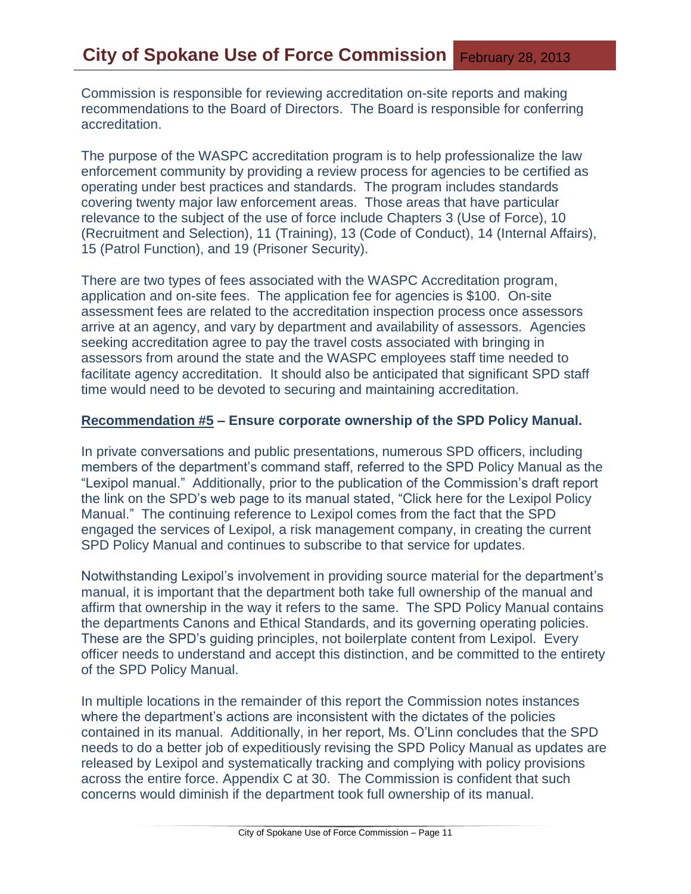Commission is responsible for reviewing accreditation on-site reports and making recommendations to the Board of Directors. The Board is responsible for conferring accreditation.

The purpose of the WASPC accreditation program is to help professionalize the law enforcement community by providing a review process for agencies to be certified as operating under best practices and standards. The program includes standards covering twenty major law enforcement areas. Those areas that have particular relevance to the subject of the use of force include Chapters 3 (Use of Force), 10 (Recruitment and Selection), 11 (Training), 13 (Code of Conduct), 14 (Internal Affairs), 15 (Patrol Function), and 19 (Prisoner Security).

There are two types of fees associated with the WASPC Accreditation program, application and on-site fees. The application fee for agencies is \$100. On-site assessment fees are related to the accreditation inspection process once assessors arrive at an agency, and vary by department and availability of assessors. Agencies seeking accreditation agree to pay the travel costs associated with bringing in assessors from around the state and the WASPC employees staff time needed to facilitate agency accreditation. It should also be anticipated that significant SPD staff time would need to be devoted to securing and maintaining accreditation.

#### **Recommendation #5 – Ensure corporate ownership of the SPD Policy Manual.**

In private conversations and public presentations, numerous SPD officers, including members of the department's command staff, referred to the SPD Policy Manual as the "Lexipol manual." Additionally, prior to the publication of the Commission's draft report the link on the SPD's web page to its manual stated, "Click here for the Lexipol Policy Manual." The continuing reference to Lexipol comes from the fact that the SPD engaged the services of Lexipol, a risk management company, in creating the current SPD Policy Manual and continues to subscribe to that service for updates.

Notwithstanding Lexipol's involvement in providing source material for the department's manual, it is important that the department both take full ownership of the manual and affirm that ownership in the way it refers to the same. The SPD Policy Manual contains the departments Canons and Ethical Standards, and its governing operating policies. These are the SPD's guiding principles, not boilerplate content from Lexipol. Every officer needs to understand and accept this distinction, and be committed to the entirety of the SPD Policy Manual.

In multiple locations in the remainder of this report the Commission notes instances where the department's actions are inconsistent with the dictates of the policies contained in its manual. Additionally, in her report, Ms. O'Linn concludes that the SPD needs to do a better job of expeditiously revising the SPD Policy Manual as updates are released by Lexipol and systematically tracking and complying with policy provisions across the entire force. Appendix C at 30. The Commission is confident that such concerns would diminish if the department took full ownership of its manual.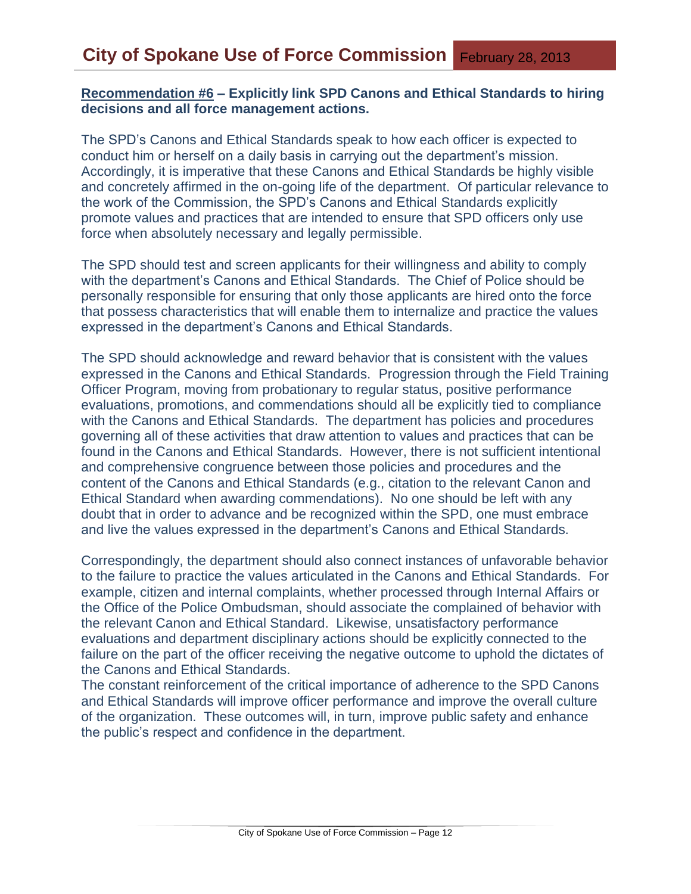#### **Recommendation #6 – Explicitly link SPD Canons and Ethical Standards to hiring decisions and all force management actions.**

The SPD's Canons and Ethical Standards speak to how each officer is expected to conduct him or herself on a daily basis in carrying out the department's mission. Accordingly, it is imperative that these Canons and Ethical Standards be highly visible and concretely affirmed in the on-going life of the department. Of particular relevance to the work of the Commission, the SPD's Canons and Ethical Standards explicitly promote values and practices that are intended to ensure that SPD officers only use force when absolutely necessary and legally permissible.

The SPD should test and screen applicants for their willingness and ability to comply with the department's Canons and Ethical Standards. The Chief of Police should be personally responsible for ensuring that only those applicants are hired onto the force that possess characteristics that will enable them to internalize and practice the values expressed in the department's Canons and Ethical Standards.

The SPD should acknowledge and reward behavior that is consistent with the values expressed in the Canons and Ethical Standards. Progression through the Field Training Officer Program, moving from probationary to regular status, positive performance evaluations, promotions, and commendations should all be explicitly tied to compliance with the Canons and Ethical Standards. The department has policies and procedures governing all of these activities that draw attention to values and practices that can be found in the Canons and Ethical Standards. However, there is not sufficient intentional and comprehensive congruence between those policies and procedures and the content of the Canons and Ethical Standards (e.g., citation to the relevant Canon and Ethical Standard when awarding commendations). No one should be left with any doubt that in order to advance and be recognized within the SPD, one must embrace and live the values expressed in the department's Canons and Ethical Standards.

Correspondingly, the department should also connect instances of unfavorable behavior to the failure to practice the values articulated in the Canons and Ethical Standards. For example, citizen and internal complaints, whether processed through Internal Affairs or the Office of the Police Ombudsman, should associate the complained of behavior with the relevant Canon and Ethical Standard. Likewise, unsatisfactory performance evaluations and department disciplinary actions should be explicitly connected to the failure on the part of the officer receiving the negative outcome to uphold the dictates of the Canons and Ethical Standards.

The constant reinforcement of the critical importance of adherence to the SPD Canons and Ethical Standards will improve officer performance and improve the overall culture of the organization. These outcomes will, in turn, improve public safety and enhance the public's respect and confidence in the department.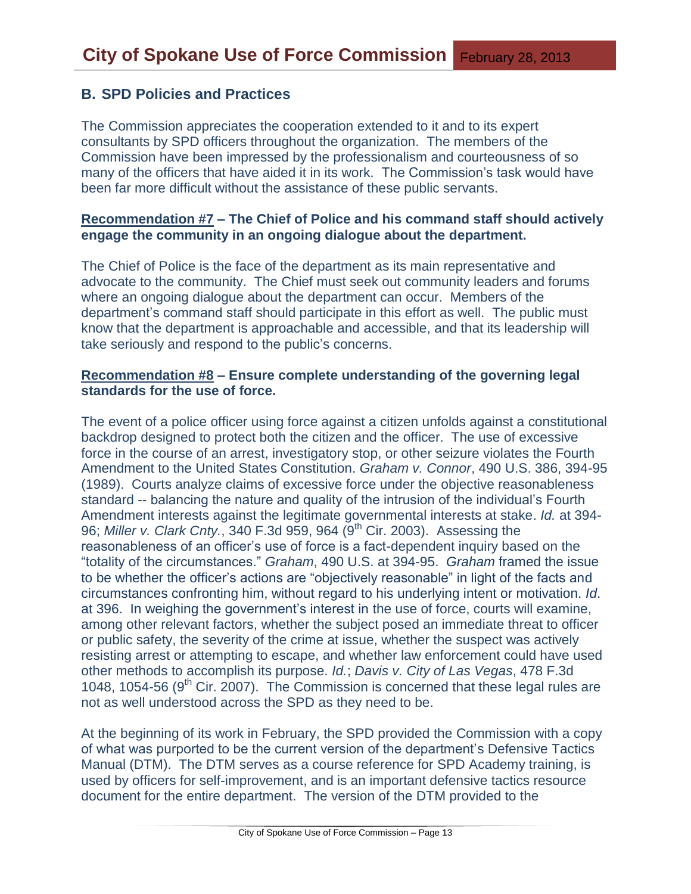## **B. SPD Policies and Practices**

The Commission appreciates the cooperation extended to it and to its expert consultants by SPD officers throughout the organization. The members of the Commission have been impressed by the professionalism and courteousness of so many of the officers that have aided it in its work. The Commission's task would have been far more difficult without the assistance of these public servants.

#### **Recommendation #7 – The Chief of Police and his command staff should actively engage the community in an ongoing dialogue about the department.**

The Chief of Police is the face of the department as its main representative and advocate to the community. The Chief must seek out community leaders and forums where an ongoing dialogue about the department can occur. Members of the department's command staff should participate in this effort as well. The public must know that the department is approachable and accessible, and that its leadership will take seriously and respond to the public's concerns.

#### **Recommendation #8 – Ensure complete understanding of the governing legal standards for the use of force.**

The event of a police officer using force against a citizen unfolds against a constitutional backdrop designed to protect both the citizen and the officer. The use of excessive force in the course of an arrest, investigatory stop, or other seizure violates the Fourth Amendment to the United States Constitution. *Graham v. Connor*, 490 U.S. 386, 394-95 (1989). Courts analyze claims of excessive force under the objective reasonableness standard -- balancing the nature and quality of the intrusion of the individual's Fourth Amendment interests against the legitimate governmental interests at stake. *Id.* at 394- 96; *Miller v. Clark Cnty.*, 340 F.3d 959, 964 (9th Cir. 2003). Assessing the reasonableness of an officer's use of force is a fact-dependent inquiry based on the "totality of the circumstances." *Graham*, 490 U.S. at 394-95. *Graham* framed the issue to be whether the officer's actions are "objectively reasonable" in light of the facts and circumstances confronting him, without regard to his underlying intent or motivation. *Id*. at 396. In weighing the government's interest in the use of force, courts will examine, among other relevant factors, whether the subject posed an immediate threat to officer or public safety, the severity of the crime at issue, whether the suspect was actively resisting arrest or attempting to escape, and whether law enforcement could have used other methods to accomplish its purpose. *Id.*; *Davis v. City of Las Vegas*, 478 F.3d 1048, 1054-56 ( $9<sup>th</sup>$  Cir. 2007). The Commission is concerned that these legal rules are not as well understood across the SPD as they need to be.

At the beginning of its work in February, the SPD provided the Commission with a copy of what was purported to be the current version of the department's Defensive Tactics Manual (DTM). The DTM serves as a course reference for SPD Academy training, is used by officers for self-improvement, and is an important defensive tactics resource document for the entire department. The version of the DTM provided to the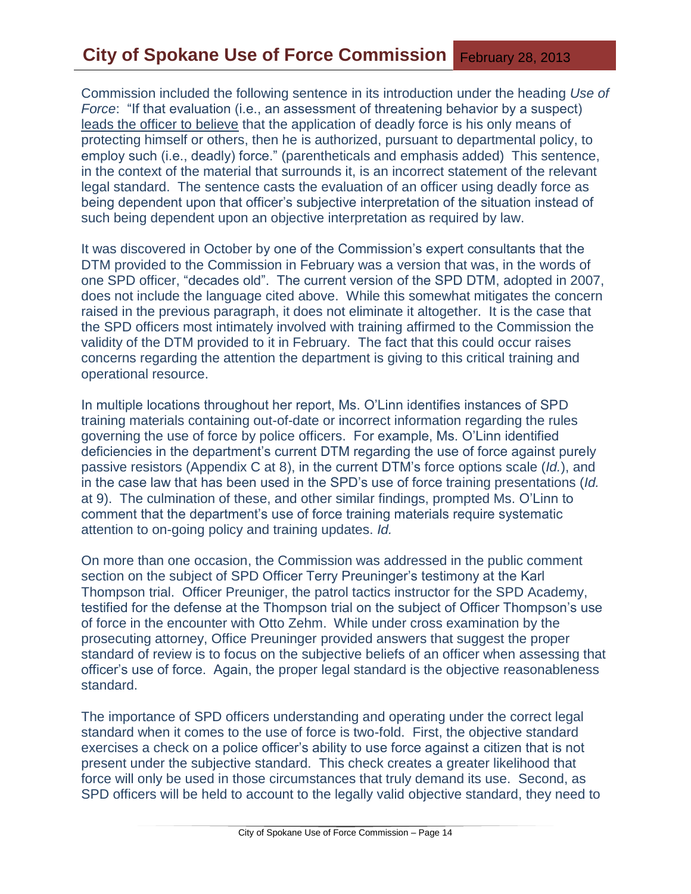Commission included the following sentence in its introduction under the heading *Use of Force*: "If that evaluation (i.e., an assessment of threatening behavior by a suspect) leads the officer to believe that the application of deadly force is his only means of protecting himself or others, then he is authorized, pursuant to departmental policy, to employ such (i.e., deadly) force." (parentheticals and emphasis added) This sentence, in the context of the material that surrounds it, is an incorrect statement of the relevant legal standard. The sentence casts the evaluation of an officer using deadly force as being dependent upon that officer's subjective interpretation of the situation instead of such being dependent upon an objective interpretation as required by law.

It was discovered in October by one of the Commission's expert consultants that the DTM provided to the Commission in February was a version that was, in the words of one SPD officer, "decades old". The current version of the SPD DTM, adopted in 2007, does not include the language cited above. While this somewhat mitigates the concern raised in the previous paragraph, it does not eliminate it altogether. It is the case that the SPD officers most intimately involved with training affirmed to the Commission the validity of the DTM provided to it in February. The fact that this could occur raises concerns regarding the attention the department is giving to this critical training and operational resource.

In multiple locations throughout her report, Ms. O'Linn identifies instances of SPD training materials containing out-of-date or incorrect information regarding the rules governing the use of force by police officers. For example, Ms. O'Linn identified deficiencies in the department's current DTM regarding the use of force against purely passive resistors (Appendix C at 8), in the current DTM's force options scale (*Id.*), and in the case law that has been used in the SPD's use of force training presentations (*Id.* at 9). The culmination of these, and other similar findings, prompted Ms. O'Linn to comment that the department's use of force training materials require systematic attention to on-going policy and training updates. *Id.*

On more than one occasion, the Commission was addressed in the public comment section on the subject of SPD Officer Terry Preuninger's testimony at the Karl Thompson trial. Officer Preuniger, the patrol tactics instructor for the SPD Academy, testified for the defense at the Thompson trial on the subject of Officer Thompson's use of force in the encounter with Otto Zehm. While under cross examination by the prosecuting attorney, Office Preuninger provided answers that suggest the proper standard of review is to focus on the subjective beliefs of an officer when assessing that officer's use of force. Again, the proper legal standard is the objective reasonableness standard.

The importance of SPD officers understanding and operating under the correct legal standard when it comes to the use of force is two-fold. First, the objective standard exercises a check on a police officer's ability to use force against a citizen that is not present under the subjective standard. This check creates a greater likelihood that force will only be used in those circumstances that truly demand its use. Second, as SPD officers will be held to account to the legally valid objective standard, they need to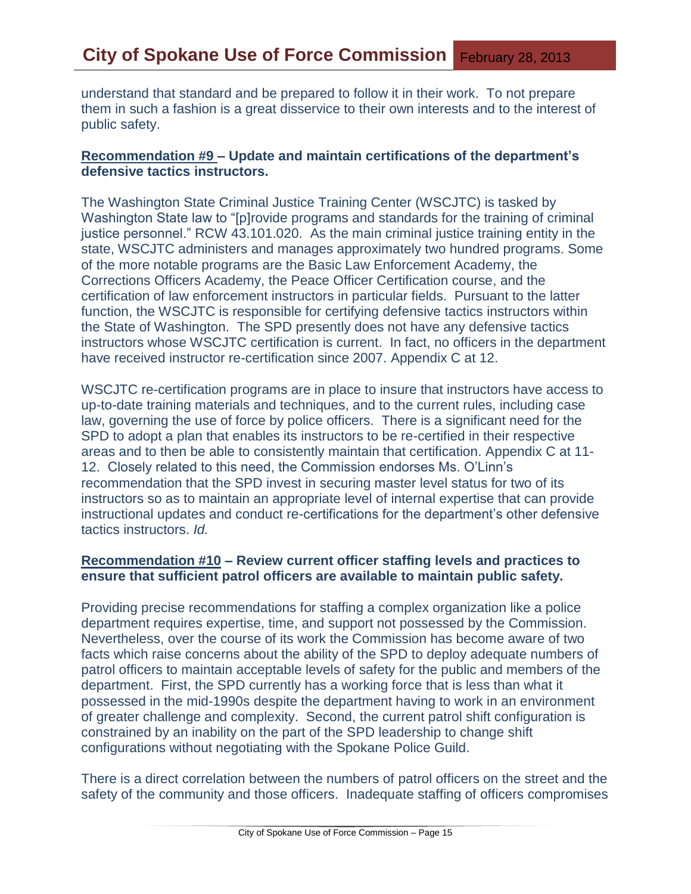understand that standard and be prepared to follow it in their work. To not prepare them in such a fashion is a great disservice to their own interests and to the interest of public safety.

## **Recommendation #9 – Update and maintain certifications of the department's defensive tactics instructors.**

The Washington State Criminal Justice Training Center (WSCJTC) is tasked by Washington State law to "[p]rovide programs and standards for the training of criminal justice personnel." RCW 43.101.020. As the main criminal justice training entity in the state, WSCJTC administers and manages approximately two hundred programs. Some of the more notable programs are the Basic Law Enforcement Academy, the Corrections Officers Academy, the Peace Officer Certification course, and the certification of law enforcement instructors in particular fields. Pursuant to the latter function, the WSCJTC is responsible for certifying defensive tactics instructors within the State of Washington. The SPD presently does not have any defensive tactics instructors whose WSCJTC certification is current. In fact, no officers in the department have received instructor re-certification since 2007. Appendix C at 12.

WSCJTC re-certification programs are in place to insure that instructors have access to up-to-date training materials and techniques, and to the current rules, including case law, governing the use of force by police officers. There is a significant need for the SPD to adopt a plan that enables its instructors to be re-certified in their respective areas and to then be able to consistently maintain that certification. Appendix C at 11- 12. Closely related to this need, the Commission endorses Ms. O'Linn's recommendation that the SPD invest in securing master level status for two of its instructors so as to maintain an appropriate level of internal expertise that can provide instructional updates and conduct re-certifications for the department's other defensive tactics instructors. *Id.*

## **Recommendation #10 – Review current officer staffing levels and practices to ensure that sufficient patrol officers are available to maintain public safety.**

Providing precise recommendations for staffing a complex organization like a police department requires expertise, time, and support not possessed by the Commission. Nevertheless, over the course of its work the Commission has become aware of two facts which raise concerns about the ability of the SPD to deploy adequate numbers of patrol officers to maintain acceptable levels of safety for the public and members of the department. First, the SPD currently has a working force that is less than what it possessed in the mid-1990s despite the department having to work in an environment of greater challenge and complexity. Second, the current patrol shift configuration is constrained by an inability on the part of the SPD leadership to change shift configurations without negotiating with the Spokane Police Guild.

There is a direct correlation between the numbers of patrol officers on the street and the safety of the community and those officers. Inadequate staffing of officers compromises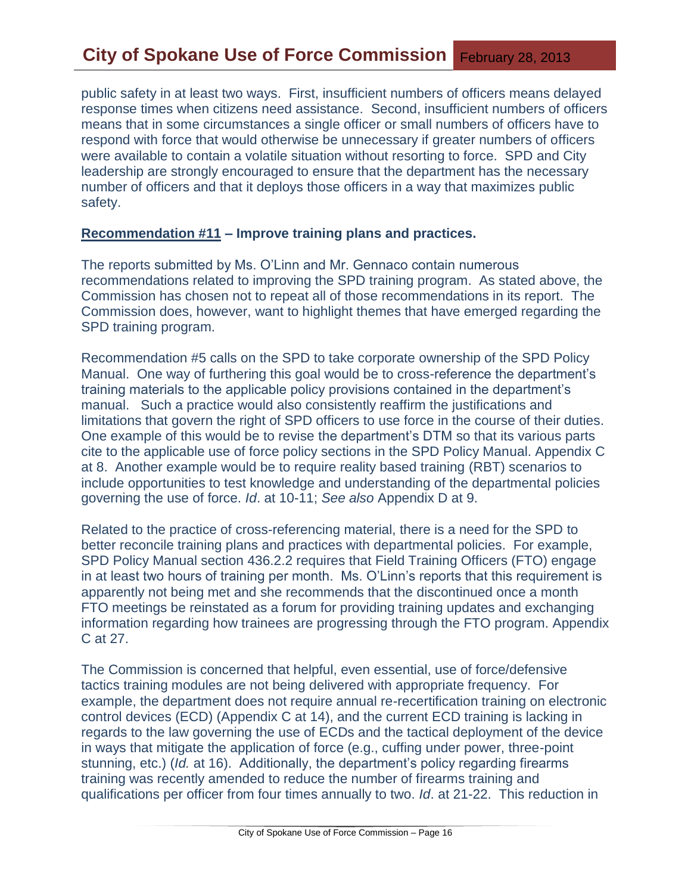public safety in at least two ways. First, insufficient numbers of officers means delayed response times when citizens need assistance. Second, insufficient numbers of officers means that in some circumstances a single officer or small numbers of officers have to respond with force that would otherwise be unnecessary if greater numbers of officers were available to contain a volatile situation without resorting to force. SPD and City leadership are strongly encouraged to ensure that the department has the necessary number of officers and that it deploys those officers in a way that maximizes public safety.

#### **Recommendation #11 – Improve training plans and practices.**

The reports submitted by Ms. O'Linn and Mr. Gennaco contain numerous recommendations related to improving the SPD training program. As stated above, the Commission has chosen not to repeat all of those recommendations in its report. The Commission does, however, want to highlight themes that have emerged regarding the SPD training program.

Recommendation #5 calls on the SPD to take corporate ownership of the SPD Policy Manual. One way of furthering this goal would be to cross-reference the department's training materials to the applicable policy provisions contained in the department's manual. Such a practice would also consistently reaffirm the justifications and limitations that govern the right of SPD officers to use force in the course of their duties. One example of this would be to revise the department's DTM so that its various parts cite to the applicable use of force policy sections in the SPD Policy Manual. Appendix C at 8. Another example would be to require reality based training (RBT) scenarios to include opportunities to test knowledge and understanding of the departmental policies governing the use of force. *Id*. at 10-11; *See also* Appendix D at 9.

Related to the practice of cross-referencing material, there is a need for the SPD to better reconcile training plans and practices with departmental policies. For example, SPD Policy Manual section 436.2.2 requires that Field Training Officers (FTO) engage in at least two hours of training per month. Ms. O'Linn's reports that this requirement is apparently not being met and she recommends that the discontinued once a month FTO meetings be reinstated as a forum for providing training updates and exchanging information regarding how trainees are progressing through the FTO program. Appendix C at 27.

The Commission is concerned that helpful, even essential, use of force/defensive tactics training modules are not being delivered with appropriate frequency. For example, the department does not require annual re-recertification training on electronic control devices (ECD) (Appendix C at 14), and the current ECD training is lacking in regards to the law governing the use of ECDs and the tactical deployment of the device in ways that mitigate the application of force (e.g., cuffing under power, three-point stunning, etc.) (*Id.* at 16). Additionally, the department's policy regarding firearms training was recently amended to reduce the number of firearms training and qualifications per officer from four times annually to two. *Id*. at 21-22. This reduction in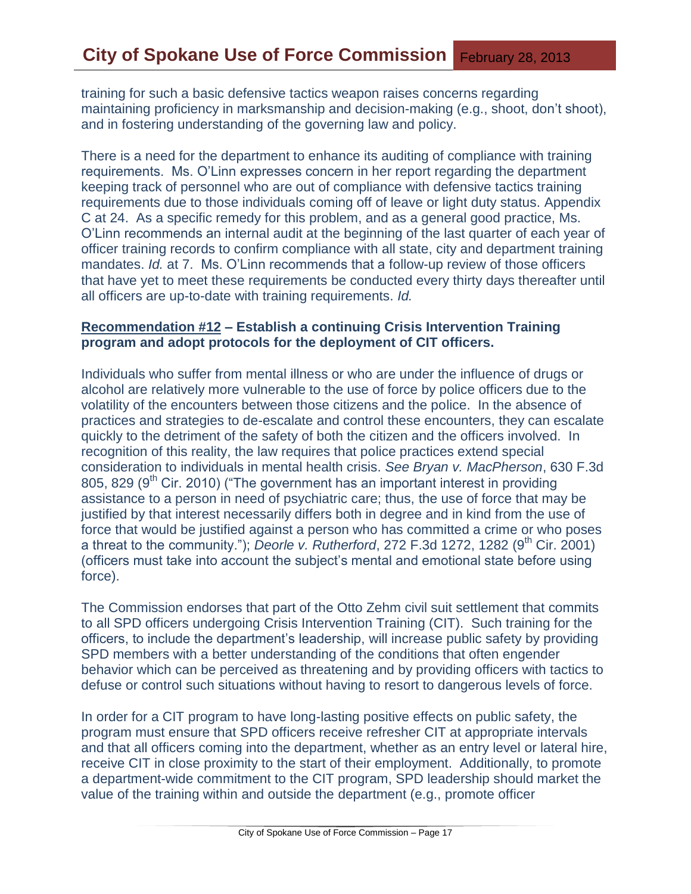training for such a basic defensive tactics weapon raises concerns regarding maintaining proficiency in marksmanship and decision-making (e.g., shoot, don't shoot), and in fostering understanding of the governing law and policy.

There is a need for the department to enhance its auditing of compliance with training requirements. Ms. O'Linn expresses concern in her report regarding the department keeping track of personnel who are out of compliance with defensive tactics training requirements due to those individuals coming off of leave or light duty status. Appendix C at 24. As a specific remedy for this problem, and as a general good practice, Ms. O'Linn recommends an internal audit at the beginning of the last quarter of each year of officer training records to confirm compliance with all state, city and department training mandates. *Id.* at 7. Ms. O'Linn recommends that a follow-up review of those officers that have yet to meet these requirements be conducted every thirty days thereafter until all officers are up-to-date with training requirements. *Id.*

#### **Recommendation #12 – Establish a continuing Crisis Intervention Training program and adopt protocols for the deployment of CIT officers.**

Individuals who suffer from mental illness or who are under the influence of drugs or alcohol are relatively more vulnerable to the use of force by police officers due to the volatility of the encounters between those citizens and the police. In the absence of practices and strategies to de-escalate and control these encounters, they can escalate quickly to the detriment of the safety of both the citizen and the officers involved. In recognition of this reality, the law requires that police practices extend special consideration to individuals in mental health crisis. *See Bryan v. MacPherson*, 630 F.3d 805, 829 ( $9<sup>th</sup>$  Cir. 2010) ("The government has an important interest in providing assistance to a person in need of psychiatric care; thus, the use of force that may be justified by that interest necessarily differs both in degree and in kind from the use of force that would be justified against a person who has committed a crime or who poses a threat to the community."); *Deorle v. Rutherford*, 272 F.3d 1272, 1282 (9<sup>th</sup> Cir. 2001) (officers must take into account the subject's mental and emotional state before using force).

The Commission endorses that part of the Otto Zehm civil suit settlement that commits to all SPD officers undergoing Crisis Intervention Training (CIT). Such training for the officers, to include the department's leadership, will increase public safety by providing SPD members with a better understanding of the conditions that often engender behavior which can be perceived as threatening and by providing officers with tactics to defuse or control such situations without having to resort to dangerous levels of force.

In order for a CIT program to have long-lasting positive effects on public safety, the program must ensure that SPD officers receive refresher CIT at appropriate intervals and that all officers coming into the department, whether as an entry level or lateral hire, receive CIT in close proximity to the start of their employment. Additionally, to promote a department-wide commitment to the CIT program, SPD leadership should market the value of the training within and outside the department (e.g., promote officer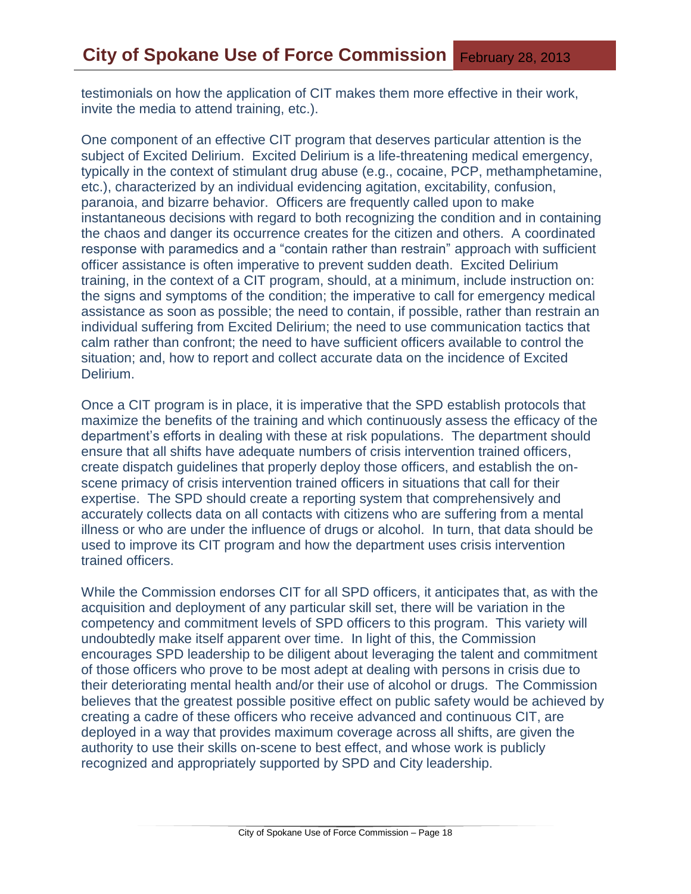testimonials on how the application of CIT makes them more effective in their work, invite the media to attend training, etc.).

One component of an effective CIT program that deserves particular attention is the subject of Excited Delirium. Excited Delirium is a life-threatening medical emergency, typically in the context of stimulant drug abuse (e.g., cocaine, PCP, methamphetamine, etc.), characterized by an individual evidencing agitation, excitability, confusion, paranoia, and bizarre behavior. Officers are frequently called upon to make instantaneous decisions with regard to both recognizing the condition and in containing the chaos and danger its occurrence creates for the citizen and others. A coordinated response with paramedics and a "contain rather than restrain" approach with sufficient officer assistance is often imperative to prevent sudden death. Excited Delirium training, in the context of a CIT program, should, at a minimum, include instruction on: the signs and symptoms of the condition; the imperative to call for emergency medical assistance as soon as possible; the need to contain, if possible, rather than restrain an individual suffering from Excited Delirium; the need to use communication tactics that calm rather than confront; the need to have sufficient officers available to control the situation; and, how to report and collect accurate data on the incidence of Excited Delirium.

Once a CIT program is in place, it is imperative that the SPD establish protocols that maximize the benefits of the training and which continuously assess the efficacy of the department's efforts in dealing with these at risk populations. The department should ensure that all shifts have adequate numbers of crisis intervention trained officers, create dispatch guidelines that properly deploy those officers, and establish the onscene primacy of crisis intervention trained officers in situations that call for their expertise. The SPD should create a reporting system that comprehensively and accurately collects data on all contacts with citizens who are suffering from a mental illness or who are under the influence of drugs or alcohol. In turn, that data should be used to improve its CIT program and how the department uses crisis intervention trained officers.

While the Commission endorses CIT for all SPD officers, it anticipates that, as with the acquisition and deployment of any particular skill set, there will be variation in the competency and commitment levels of SPD officers to this program. This variety will undoubtedly make itself apparent over time. In light of this, the Commission encourages SPD leadership to be diligent about leveraging the talent and commitment of those officers who prove to be most adept at dealing with persons in crisis due to their deteriorating mental health and/or their use of alcohol or drugs. The Commission believes that the greatest possible positive effect on public safety would be achieved by creating a cadre of these officers who receive advanced and continuous CIT, are deployed in a way that provides maximum coverage across all shifts, are given the authority to use their skills on-scene to best effect, and whose work is publicly recognized and appropriately supported by SPD and City leadership.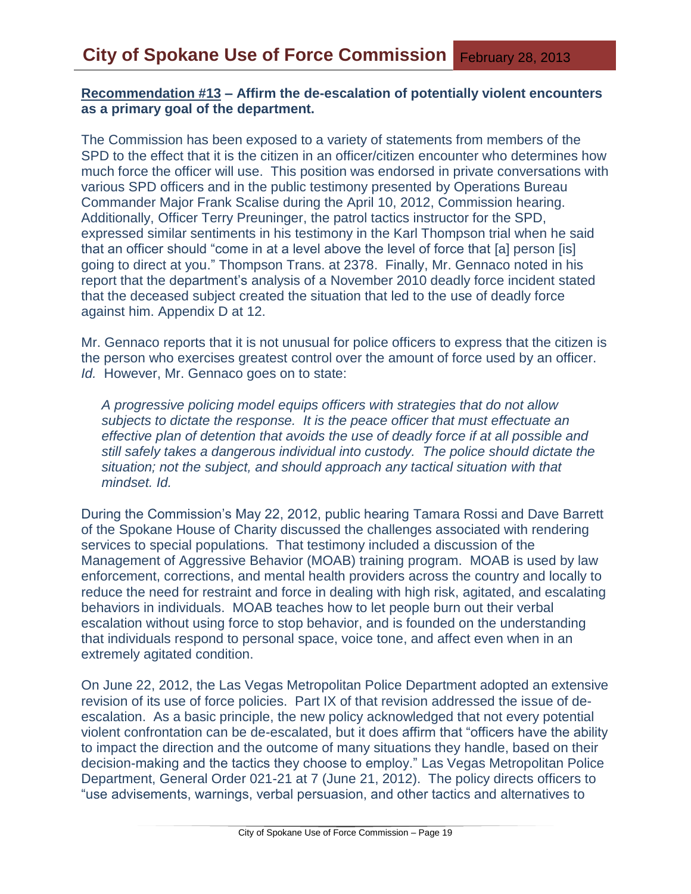#### **Recommendation #13 – Affirm the de-escalation of potentially violent encounters as a primary goal of the department.**

The Commission has been exposed to a variety of statements from members of the SPD to the effect that it is the citizen in an officer/citizen encounter who determines how much force the officer will use. This position was endorsed in private conversations with various SPD officers and in the public testimony presented by Operations Bureau Commander Major Frank Scalise during the April 10, 2012, Commission hearing. Additionally, Officer Terry Preuninger, the patrol tactics instructor for the SPD, expressed similar sentiments in his testimony in the Karl Thompson trial when he said that an officer should "come in at a level above the level of force that [a] person [is] going to direct at you." Thompson Trans. at 2378. Finally, Mr. Gennaco noted in his report that the department's analysis of a November 2010 deadly force incident stated that the deceased subject created the situation that led to the use of deadly force against him. Appendix D at 12.

Mr. Gennaco reports that it is not unusual for police officers to express that the citizen is the person who exercises greatest control over the amount of force used by an officer. *Id.* However, Mr. Gennaco goes on to state:

*A progressive policing model equips officers with strategies that do not allow subjects to dictate the response. It is the peace officer that must effectuate an effective plan of detention that avoids the use of deadly force if at all possible and still safely takes a dangerous individual into custody. The police should dictate the situation; not the subject, and should approach any tactical situation with that mindset. Id.*

During the Commission's May 22, 2012, public hearing Tamara Rossi and Dave Barrett of the Spokane House of Charity discussed the challenges associated with rendering services to special populations. That testimony included a discussion of the Management of Aggressive Behavior (MOAB) training program. MOAB is used by law enforcement, corrections, and mental health providers across the country and locally to reduce the need for restraint and force in dealing with high risk, agitated, and escalating behaviors in individuals. MOAB teaches how to let people burn out their verbal escalation without using force to stop behavior, and is founded on the understanding that individuals respond to personal space, voice tone, and affect even when in an extremely agitated condition.

On June 22, 2012, the Las Vegas Metropolitan Police Department adopted an extensive revision of its use of force policies. Part IX of that revision addressed the issue of deescalation. As a basic principle, the new policy acknowledged that not every potential violent confrontation can be de-escalated, but it does affirm that "officers have the ability to impact the direction and the outcome of many situations they handle, based on their decision-making and the tactics they choose to employ." Las Vegas Metropolitan Police Department, General Order 021-21 at 7 (June 21, 2012). The policy directs officers to "use advisements, warnings, verbal persuasion, and other tactics and alternatives to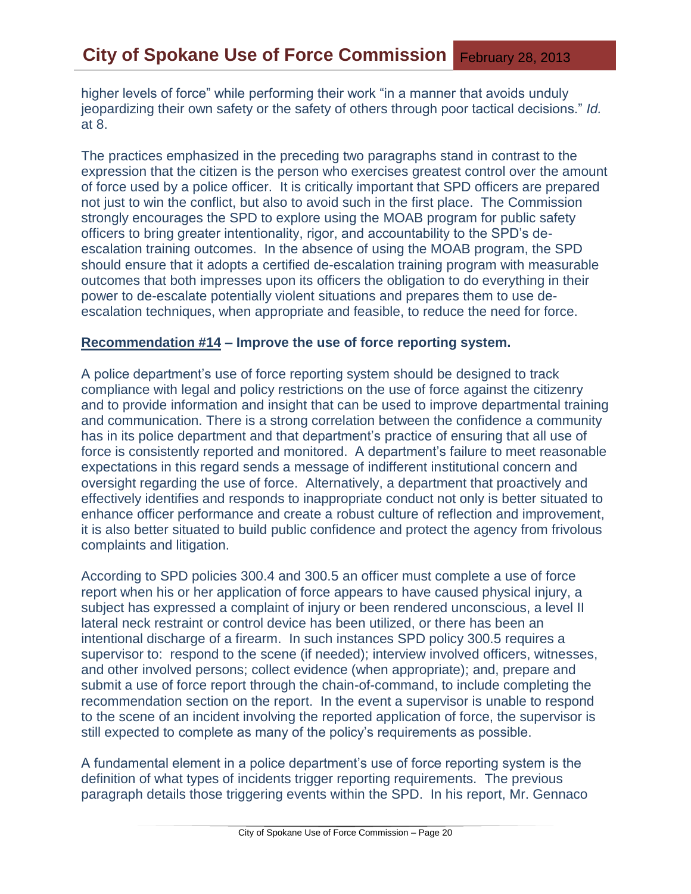higher levels of force" while performing their work "in a manner that avoids unduly jeopardizing their own safety or the safety of others through poor tactical decisions." *Id.*  at 8.

The practices emphasized in the preceding two paragraphs stand in contrast to the expression that the citizen is the person who exercises greatest control over the amount of force used by a police officer. It is critically important that SPD officers are prepared not just to win the conflict, but also to avoid such in the first place. The Commission strongly encourages the SPD to explore using the MOAB program for public safety officers to bring greater intentionality, rigor, and accountability to the SPD's deescalation training outcomes. In the absence of using the MOAB program, the SPD should ensure that it adopts a certified de-escalation training program with measurable outcomes that both impresses upon its officers the obligation to do everything in their power to de-escalate potentially violent situations and prepares them to use deescalation techniques, when appropriate and feasible, to reduce the need for force.

#### **Recommendation #14 – Improve the use of force reporting system.**

A police department's use of force reporting system should be designed to track compliance with legal and policy restrictions on the use of force against the citizenry and to provide information and insight that can be used to improve departmental training and communication. There is a strong correlation between the confidence a community has in its police department and that department's practice of ensuring that all use of force is consistently reported and monitored. A department's failure to meet reasonable expectations in this regard sends a message of indifferent institutional concern and oversight regarding the use of force. Alternatively, a department that proactively and effectively identifies and responds to inappropriate conduct not only is better situated to enhance officer performance and create a robust culture of reflection and improvement, it is also better situated to build public confidence and protect the agency from frivolous complaints and litigation.

According to SPD policies 300.4 and 300.5 an officer must complete a use of force report when his or her application of force appears to have caused physical injury, a subject has expressed a complaint of injury or been rendered unconscious, a level II lateral neck restraint or control device has been utilized, or there has been an intentional discharge of a firearm. In such instances SPD policy 300.5 requires a supervisor to: respond to the scene (if needed); interview involved officers, witnesses, and other involved persons; collect evidence (when appropriate); and, prepare and submit a use of force report through the chain-of-command, to include completing the recommendation section on the report. In the event a supervisor is unable to respond to the scene of an incident involving the reported application of force, the supervisor is still expected to complete as many of the policy's requirements as possible.

A fundamental element in a police department's use of force reporting system is the definition of what types of incidents trigger reporting requirements. The previous paragraph details those triggering events within the SPD. In his report, Mr. Gennaco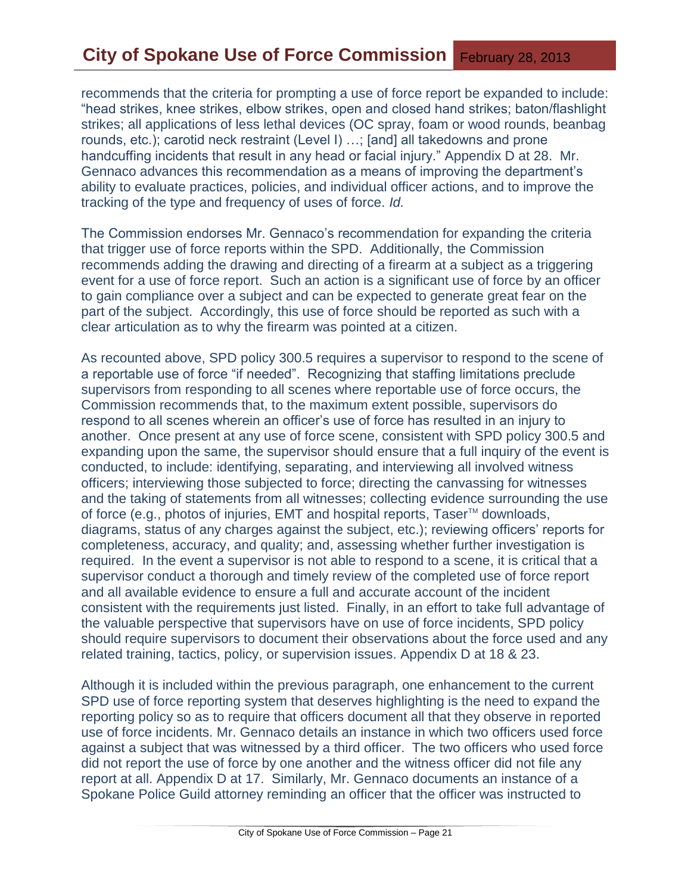recommends that the criteria for prompting a use of force report be expanded to include: "head strikes, knee strikes, elbow strikes, open and closed hand strikes; baton/flashlight strikes; all applications of less lethal devices (OC spray, foam or wood rounds, beanbag rounds, etc.); carotid neck restraint (Level I) …; [and] all takedowns and prone handcuffing incidents that result in any head or facial injury." Appendix D at 28. Mr. Gennaco advances this recommendation as a means of improving the department's ability to evaluate practices, policies, and individual officer actions, and to improve the tracking of the type and frequency of uses of force. *Id.*

The Commission endorses Mr. Gennaco's recommendation for expanding the criteria that trigger use of force reports within the SPD. Additionally, the Commission recommends adding the drawing and directing of a firearm at a subject as a triggering event for a use of force report. Such an action is a significant use of force by an officer to gain compliance over a subject and can be expected to generate great fear on the part of the subject. Accordingly, this use of force should be reported as such with a clear articulation as to why the firearm was pointed at a citizen.

As recounted above, SPD policy 300.5 requires a supervisor to respond to the scene of a reportable use of force "if needed". Recognizing that staffing limitations preclude supervisors from responding to all scenes where reportable use of force occurs, the Commission recommends that, to the maximum extent possible, supervisors do respond to all scenes wherein an officer's use of force has resulted in an injury to another. Once present at any use of force scene, consistent with SPD policy 300.5 and expanding upon the same, the supervisor should ensure that a full inquiry of the event is conducted, to include: identifying, separating, and interviewing all involved witness officers; interviewing those subjected to force; directing the canvassing for witnesses and the taking of statements from all witnesses; collecting evidence surrounding the use of force (e.g., photos of injuries, EMT and hospital reports, Taser<sup>™</sup> downloads, diagrams, status of any charges against the subject, etc.); reviewing officers' reports for completeness, accuracy, and quality; and, assessing whether further investigation is required. In the event a supervisor is not able to respond to a scene, it is critical that a supervisor conduct a thorough and timely review of the completed use of force report and all available evidence to ensure a full and accurate account of the incident consistent with the requirements just listed. Finally, in an effort to take full advantage of the valuable perspective that supervisors have on use of force incidents, SPD policy should require supervisors to document their observations about the force used and any related training, tactics, policy, or supervision issues. Appendix D at 18 & 23.

Although it is included within the previous paragraph, one enhancement to the current SPD use of force reporting system that deserves highlighting is the need to expand the reporting policy so as to require that officers document all that they observe in reported use of force incidents. Mr. Gennaco details an instance in which two officers used force against a subject that was witnessed by a third officer. The two officers who used force did not report the use of force by one another and the witness officer did not file any report at all. Appendix D at 17. Similarly, Mr. Gennaco documents an instance of a Spokane Police Guild attorney reminding an officer that the officer was instructed to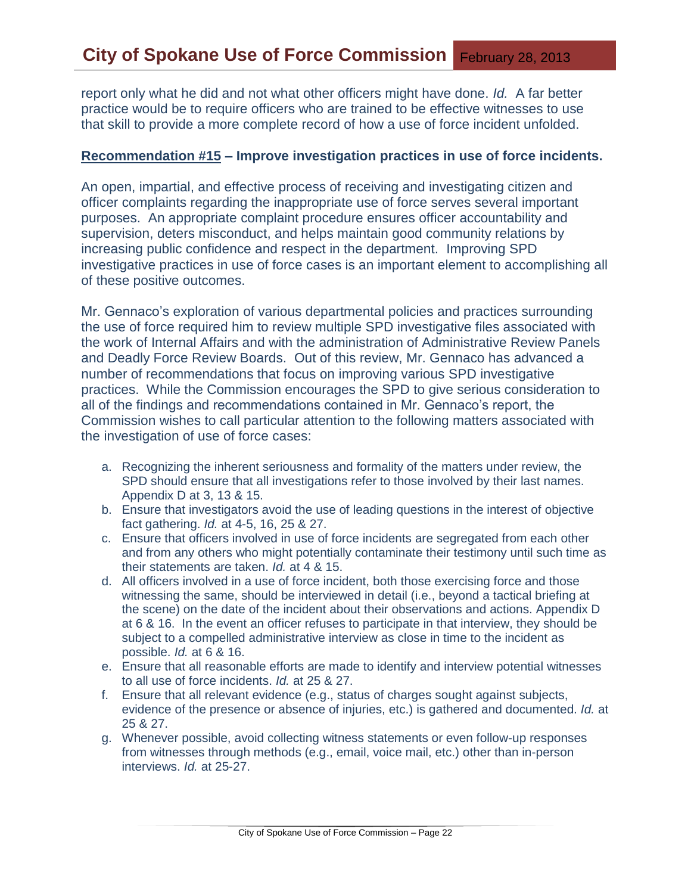report only what he did and not what other officers might have done. *Id.* A far better practice would be to require officers who are trained to be effective witnesses to use that skill to provide a more complete record of how a use of force incident unfolded.

#### **Recommendation #15 – Improve investigation practices in use of force incidents.**

An open, impartial, and effective process of receiving and investigating citizen and officer complaints regarding the inappropriate use of force serves several important purposes. An appropriate complaint procedure ensures officer accountability and supervision, deters misconduct, and helps maintain good community relations by increasing public confidence and respect in the department. Improving SPD investigative practices in use of force cases is an important element to accomplishing all of these positive outcomes.

Mr. Gennaco's exploration of various departmental policies and practices surrounding the use of force required him to review multiple SPD investigative files associated with the work of Internal Affairs and with the administration of Administrative Review Panels and Deadly Force Review Boards. Out of this review, Mr. Gennaco has advanced a number of recommendations that focus on improving various SPD investigative practices. While the Commission encourages the SPD to give serious consideration to all of the findings and recommendations contained in Mr. Gennaco's report, the Commission wishes to call particular attention to the following matters associated with the investigation of use of force cases:

- a. Recognizing the inherent seriousness and formality of the matters under review, the SPD should ensure that all investigations refer to those involved by their last names. Appendix D at 3, 13 & 15.
- b. Ensure that investigators avoid the use of leading questions in the interest of objective fact gathering. *Id.* at 4-5, 16, 25 & 27.
- c. Ensure that officers involved in use of force incidents are segregated from each other and from any others who might potentially contaminate their testimony until such time as their statements are taken. *Id.* at 4 & 15.
- d. All officers involved in a use of force incident, both those exercising force and those witnessing the same, should be interviewed in detail (i.e., beyond a tactical briefing at the scene) on the date of the incident about their observations and actions. Appendix D at 6 & 16. In the event an officer refuses to participate in that interview, they should be subject to a compelled administrative interview as close in time to the incident as possible. *Id.* at 6 & 16.
- e. Ensure that all reasonable efforts are made to identify and interview potential witnesses to all use of force incidents. *Id.* at 25 & 27.
- f. Ensure that all relevant evidence (e.g., status of charges sought against subjects, evidence of the presence or absence of injuries, etc.) is gathered and documented. *Id.* at 25 & 27.
- g. Whenever possible, avoid collecting witness statements or even follow-up responses from witnesses through methods (e.g., email, voice mail, etc.) other than in-person interviews. *Id.* at 25-27.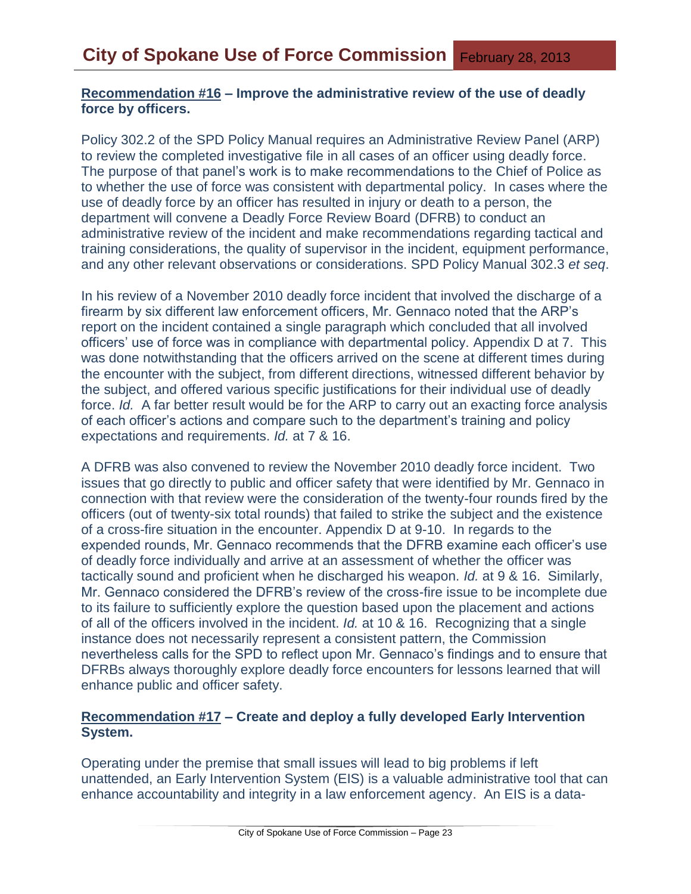#### **Recommendation #16 – Improve the administrative review of the use of deadly force by officers.**

Policy 302.2 of the SPD Policy Manual requires an Administrative Review Panel (ARP) to review the completed investigative file in all cases of an officer using deadly force. The purpose of that panel's work is to make recommendations to the Chief of Police as to whether the use of force was consistent with departmental policy. In cases where the use of deadly force by an officer has resulted in injury or death to a person, the department will convene a Deadly Force Review Board (DFRB) to conduct an administrative review of the incident and make recommendations regarding tactical and training considerations, the quality of supervisor in the incident, equipment performance, and any other relevant observations or considerations. SPD Policy Manual 302.3 *et seq*.

In his review of a November 2010 deadly force incident that involved the discharge of a firearm by six different law enforcement officers, Mr. Gennaco noted that the ARP's report on the incident contained a single paragraph which concluded that all involved officers' use of force was in compliance with departmental policy. Appendix D at 7. This was done notwithstanding that the officers arrived on the scene at different times during the encounter with the subject, from different directions, witnessed different behavior by the subject, and offered various specific justifications for their individual use of deadly force. *Id.* A far better result would be for the ARP to carry out an exacting force analysis of each officer's actions and compare such to the department's training and policy expectations and requirements. *Id.* at 7 & 16.

A DFRB was also convened to review the November 2010 deadly force incident. Two issues that go directly to public and officer safety that were identified by Mr. Gennaco in connection with that review were the consideration of the twenty-four rounds fired by the officers (out of twenty-six total rounds) that failed to strike the subject and the existence of a cross-fire situation in the encounter. Appendix D at 9-10. In regards to the expended rounds, Mr. Gennaco recommends that the DFRB examine each officer's use of deadly force individually and arrive at an assessment of whether the officer was tactically sound and proficient when he discharged his weapon. *Id.* at 9 & 16. Similarly, Mr. Gennaco considered the DFRB's review of the cross-fire issue to be incomplete due to its failure to sufficiently explore the question based upon the placement and actions of all of the officers involved in the incident. *Id.* at 10 & 16. Recognizing that a single instance does not necessarily represent a consistent pattern, the Commission nevertheless calls for the SPD to reflect upon Mr. Gennaco's findings and to ensure that DFRBs always thoroughly explore deadly force encounters for lessons learned that will enhance public and officer safety.

#### **Recommendation #17 – Create and deploy a fully developed Early Intervention System.**

Operating under the premise that small issues will lead to big problems if left unattended, an Early Intervention System (EIS) is a valuable administrative tool that can enhance accountability and integrity in a law enforcement agency. An EIS is a data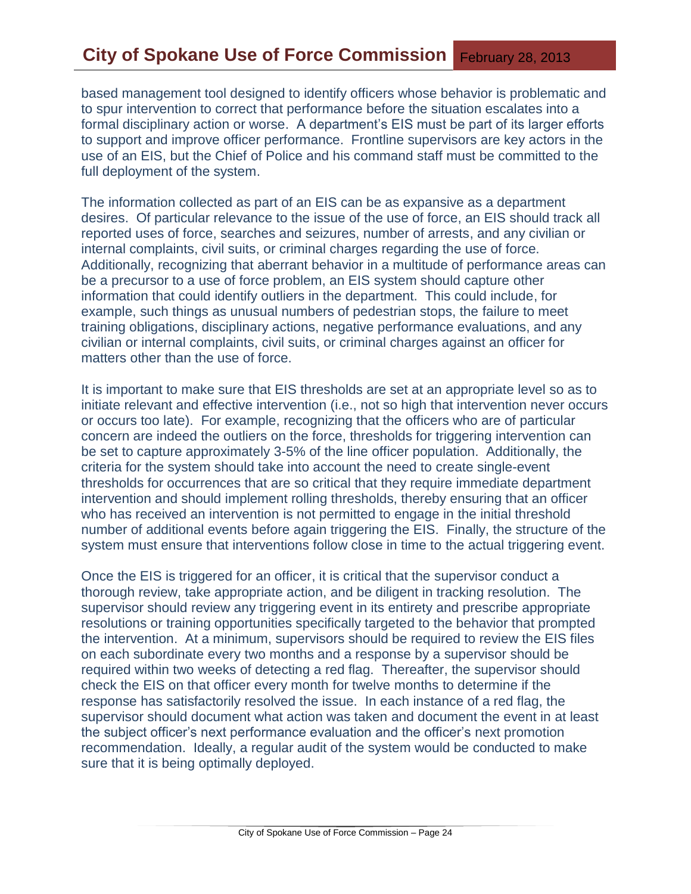based management tool designed to identify officers whose behavior is problematic and to spur intervention to correct that performance before the situation escalates into a formal disciplinary action or worse. A department's EIS must be part of its larger efforts to support and improve officer performance. Frontline supervisors are key actors in the use of an EIS, but the Chief of Police and his command staff must be committed to the full deployment of the system.

The information collected as part of an EIS can be as expansive as a department desires. Of particular relevance to the issue of the use of force, an EIS should track all reported uses of force, searches and seizures, number of arrests, and any civilian or internal complaints, civil suits, or criminal charges regarding the use of force. Additionally, recognizing that aberrant behavior in a multitude of performance areas can be a precursor to a use of force problem, an EIS system should capture other information that could identify outliers in the department. This could include, for example, such things as unusual numbers of pedestrian stops, the failure to meet training obligations, disciplinary actions, negative performance evaluations, and any civilian or internal complaints, civil suits, or criminal charges against an officer for matters other than the use of force.

It is important to make sure that EIS thresholds are set at an appropriate level so as to initiate relevant and effective intervention (i.e., not so high that intervention never occurs or occurs too late). For example, recognizing that the officers who are of particular concern are indeed the outliers on the force, thresholds for triggering intervention can be set to capture approximately 3-5% of the line officer population. Additionally, the criteria for the system should take into account the need to create single-event thresholds for occurrences that are so critical that they require immediate department intervention and should implement rolling thresholds, thereby ensuring that an officer who has received an intervention is not permitted to engage in the initial threshold number of additional events before again triggering the EIS. Finally, the structure of the system must ensure that interventions follow close in time to the actual triggering event.

Once the EIS is triggered for an officer, it is critical that the supervisor conduct a thorough review, take appropriate action, and be diligent in tracking resolution. The supervisor should review any triggering event in its entirety and prescribe appropriate resolutions or training opportunities specifically targeted to the behavior that prompted the intervention. At a minimum, supervisors should be required to review the EIS files on each subordinate every two months and a response by a supervisor should be required within two weeks of detecting a red flag. Thereafter, the supervisor should check the EIS on that officer every month for twelve months to determine if the response has satisfactorily resolved the issue. In each instance of a red flag, the supervisor should document what action was taken and document the event in at least the subject officer's next performance evaluation and the officer's next promotion recommendation. Ideally, a regular audit of the system would be conducted to make sure that it is being optimally deployed.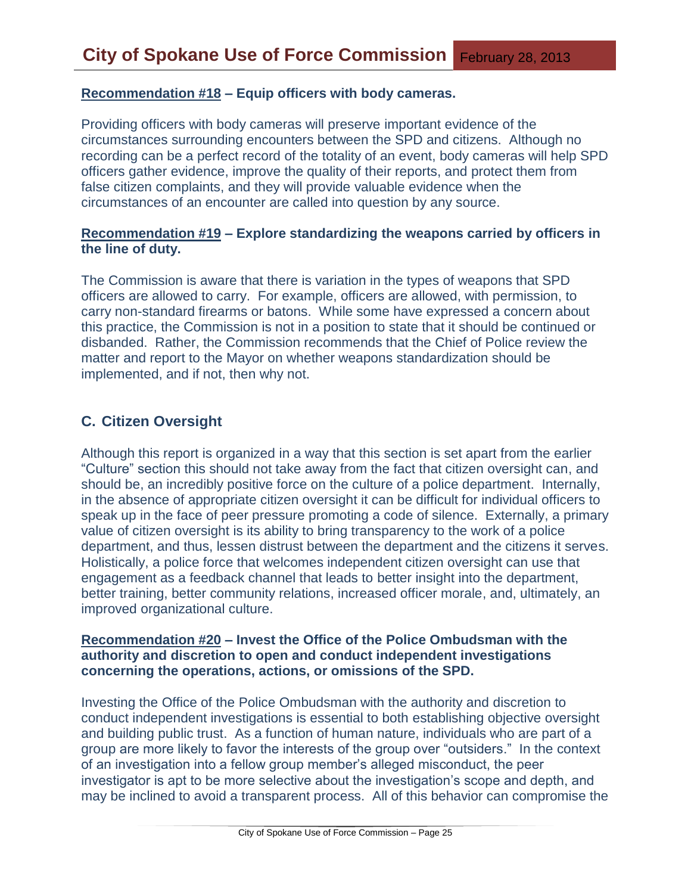#### **Recommendation #18 – Equip officers with body cameras.**

Providing officers with body cameras will preserve important evidence of the circumstances surrounding encounters between the SPD and citizens. Although no recording can be a perfect record of the totality of an event, body cameras will help SPD officers gather evidence, improve the quality of their reports, and protect them from false citizen complaints, and they will provide valuable evidence when the circumstances of an encounter are called into question by any source.

## **Recommendation #19 – Explore standardizing the weapons carried by officers in the line of duty.**

The Commission is aware that there is variation in the types of weapons that SPD officers are allowed to carry. For example, officers are allowed, with permission, to carry non-standard firearms or batons. While some have expressed a concern about this practice, the Commission is not in a position to state that it should be continued or disbanded. Rather, the Commission recommends that the Chief of Police review the matter and report to the Mayor on whether weapons standardization should be implemented, and if not, then why not.

## **C. Citizen Oversight**

Although this report is organized in a way that this section is set apart from the earlier "Culture" section this should not take away from the fact that citizen oversight can, and should be, an incredibly positive force on the culture of a police department. Internally, in the absence of appropriate citizen oversight it can be difficult for individual officers to speak up in the face of peer pressure promoting a code of silence. Externally, a primary value of citizen oversight is its ability to bring transparency to the work of a police department, and thus, lessen distrust between the department and the citizens it serves. Holistically, a police force that welcomes independent citizen oversight can use that engagement as a feedback channel that leads to better insight into the department, better training, better community relations, increased officer morale, and, ultimately, an improved organizational culture.

#### **Recommendation #20 – Invest the Office of the Police Ombudsman with the authority and discretion to open and conduct independent investigations concerning the operations, actions, or omissions of the SPD.**

Investing the Office of the Police Ombudsman with the authority and discretion to conduct independent investigations is essential to both establishing objective oversight and building public trust. As a function of human nature, individuals who are part of a group are more likely to favor the interests of the group over "outsiders." In the context of an investigation into a fellow group member's alleged misconduct, the peer investigator is apt to be more selective about the investigation's scope and depth, and may be inclined to avoid a transparent process. All of this behavior can compromise the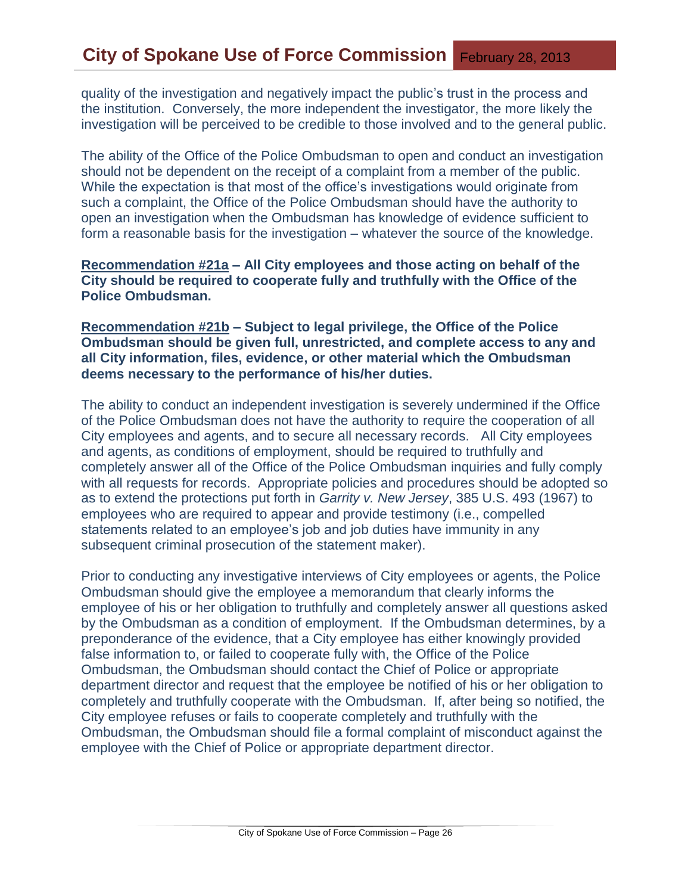quality of the investigation and negatively impact the public's trust in the process and the institution. Conversely, the more independent the investigator, the more likely the investigation will be perceived to be credible to those involved and to the general public.

The ability of the Office of the Police Ombudsman to open and conduct an investigation should not be dependent on the receipt of a complaint from a member of the public. While the expectation is that most of the office's investigations would originate from such a complaint, the Office of the Police Ombudsman should have the authority to open an investigation when the Ombudsman has knowledge of evidence sufficient to form a reasonable basis for the investigation – whatever the source of the knowledge.

**Recommendation #21a – All City employees and those acting on behalf of the City should be required to cooperate fully and truthfully with the Office of the Police Ombudsman.**

**Recommendation #21b – Subject to legal privilege, the Office of the Police Ombudsman should be given full, unrestricted, and complete access to any and all City information, files, evidence, or other material which the Ombudsman deems necessary to the performance of his/her duties.** 

The ability to conduct an independent investigation is severely undermined if the Office of the Police Ombudsman does not have the authority to require the cooperation of all City employees and agents, and to secure all necessary records. All City employees and agents, as conditions of employment, should be required to truthfully and completely answer all of the Office of the Police Ombudsman inquiries and fully comply with all requests for records. Appropriate policies and procedures should be adopted so as to extend the protections put forth in *Garrity v. New Jersey*, 385 U.S. 493 (1967) to employees who are required to appear and provide testimony (i.e., compelled statements related to an employee's job and job duties have immunity in any subsequent criminal prosecution of the statement maker).

Prior to conducting any investigative interviews of City employees or agents, the Police Ombudsman should give the employee a memorandum that clearly informs the employee of his or her obligation to truthfully and completely answer all questions asked by the Ombudsman as a condition of employment. If the Ombudsman determines, by a preponderance of the evidence, that a City employee has either knowingly provided false information to, or failed to cooperate fully with, the Office of the Police Ombudsman, the Ombudsman should contact the Chief of Police or appropriate department director and request that the employee be notified of his or her obligation to completely and truthfully cooperate with the Ombudsman. If, after being so notified, the City employee refuses or fails to cooperate completely and truthfully with the Ombudsman, the Ombudsman should file a formal complaint of misconduct against the employee with the Chief of Police or appropriate department director.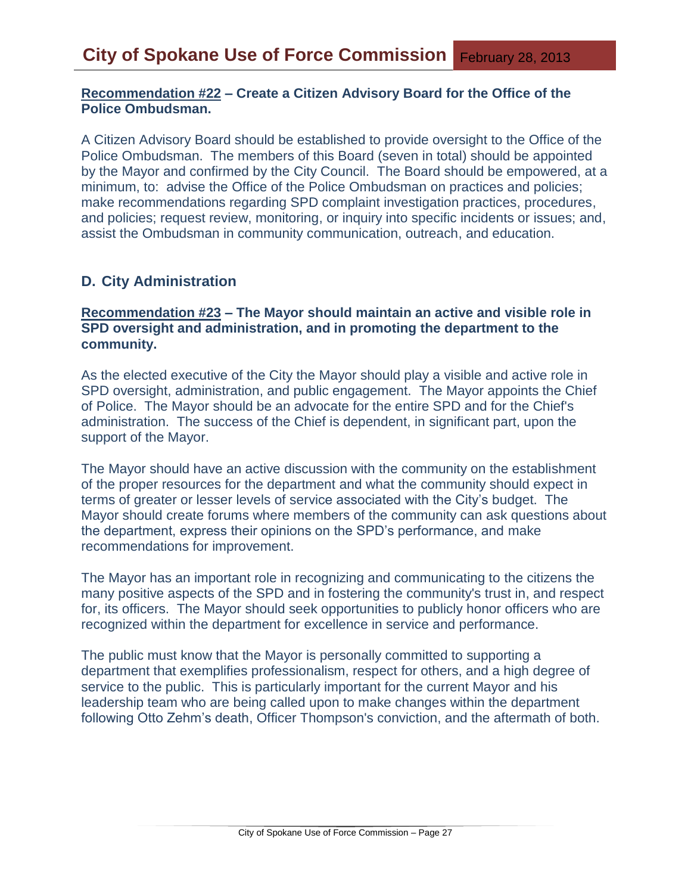## **Recommendation #22 – Create a Citizen Advisory Board for the Office of the Police Ombudsman.**

A Citizen Advisory Board should be established to provide oversight to the Office of the Police Ombudsman. The members of this Board (seven in total) should be appointed by the Mayor and confirmed by the City Council. The Board should be empowered, at a minimum, to: advise the Office of the Police Ombudsman on practices and policies; make recommendations regarding SPD complaint investigation practices, procedures, and policies; request review, monitoring, or inquiry into specific incidents or issues; and, assist the Ombudsman in community communication, outreach, and education.

## **D. City Administration**

## **Recommendation #23 – The Mayor should maintain an active and visible role in SPD oversight and administration, and in promoting the department to the community.**

As the elected executive of the City the Mayor should play a visible and active role in SPD oversight, administration, and public engagement. The Mayor appoints the Chief of Police. The Mayor should be an advocate for the entire SPD and for the Chief's administration. The success of the Chief is dependent, in significant part, upon the support of the Mayor.

The Mayor should have an active discussion with the community on the establishment of the proper resources for the department and what the community should expect in terms of greater or lesser levels of service associated with the City's budget. The Mayor should create forums where members of the community can ask questions about the department, express their opinions on the SPD's performance, and make recommendations for improvement.

The Mayor has an important role in recognizing and communicating to the citizens the many positive aspects of the SPD and in fostering the community's trust in, and respect for, its officers. The Mayor should seek opportunities to publicly honor officers who are recognized within the department for excellence in service and performance.

The public must know that the Mayor is personally committed to supporting a department that exemplifies professionalism, respect for others, and a high degree of service to the public. This is particularly important for the current Mayor and his leadership team who are being called upon to make changes within the department following Otto Zehm's death, Officer Thompson's conviction, and the aftermath of both.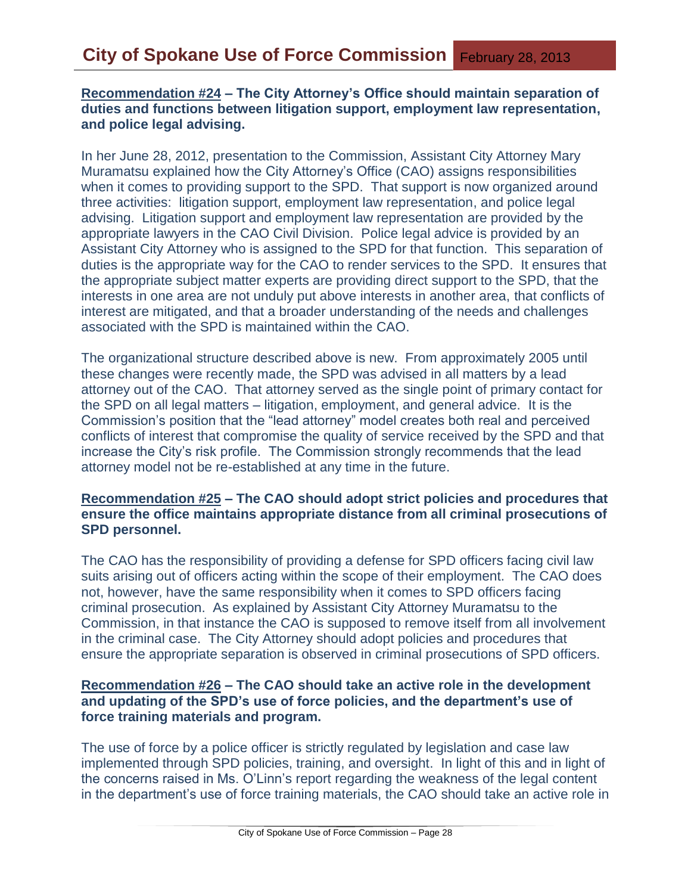## **Recommendation #24 – The City Attorney's Office should maintain separation of duties and functions between litigation support, employment law representation, and police legal advising.**

In her June 28, 2012, presentation to the Commission, Assistant City Attorney Mary Muramatsu explained how the City Attorney's Office (CAO) assigns responsibilities when it comes to providing support to the SPD. That support is now organized around three activities: litigation support, employment law representation, and police legal advising. Litigation support and employment law representation are provided by the appropriate lawyers in the CAO Civil Division. Police legal advice is provided by an Assistant City Attorney who is assigned to the SPD for that function. This separation of duties is the appropriate way for the CAO to render services to the SPD. It ensures that the appropriate subject matter experts are providing direct support to the SPD, that the interests in one area are not unduly put above interests in another area, that conflicts of interest are mitigated, and that a broader understanding of the needs and challenges associated with the SPD is maintained within the CAO.

The organizational structure described above is new. From approximately 2005 until these changes were recently made, the SPD was advised in all matters by a lead attorney out of the CAO. That attorney served as the single point of primary contact for the SPD on all legal matters – litigation, employment, and general advice. It is the Commission's position that the "lead attorney" model creates both real and perceived conflicts of interest that compromise the quality of service received by the SPD and that increase the City's risk profile. The Commission strongly recommends that the lead attorney model not be re-established at any time in the future.

#### **Recommendation #25 – The CAO should adopt strict policies and procedures that ensure the office maintains appropriate distance from all criminal prosecutions of SPD personnel.**

The CAO has the responsibility of providing a defense for SPD officers facing civil law suits arising out of officers acting within the scope of their employment. The CAO does not, however, have the same responsibility when it comes to SPD officers facing criminal prosecution. As explained by Assistant City Attorney Muramatsu to the Commission, in that instance the CAO is supposed to remove itself from all involvement in the criminal case. The City Attorney should adopt policies and procedures that ensure the appropriate separation is observed in criminal prosecutions of SPD officers.

## **Recommendation #26 – The CAO should take an active role in the development and updating of the SPD's use of force policies, and the department's use of force training materials and program.**

The use of force by a police officer is strictly regulated by legislation and case law implemented through SPD policies, training, and oversight. In light of this and in light of the concerns raised in Ms. O'Linn's report regarding the weakness of the legal content in the department's use of force training materials, the CAO should take an active role in